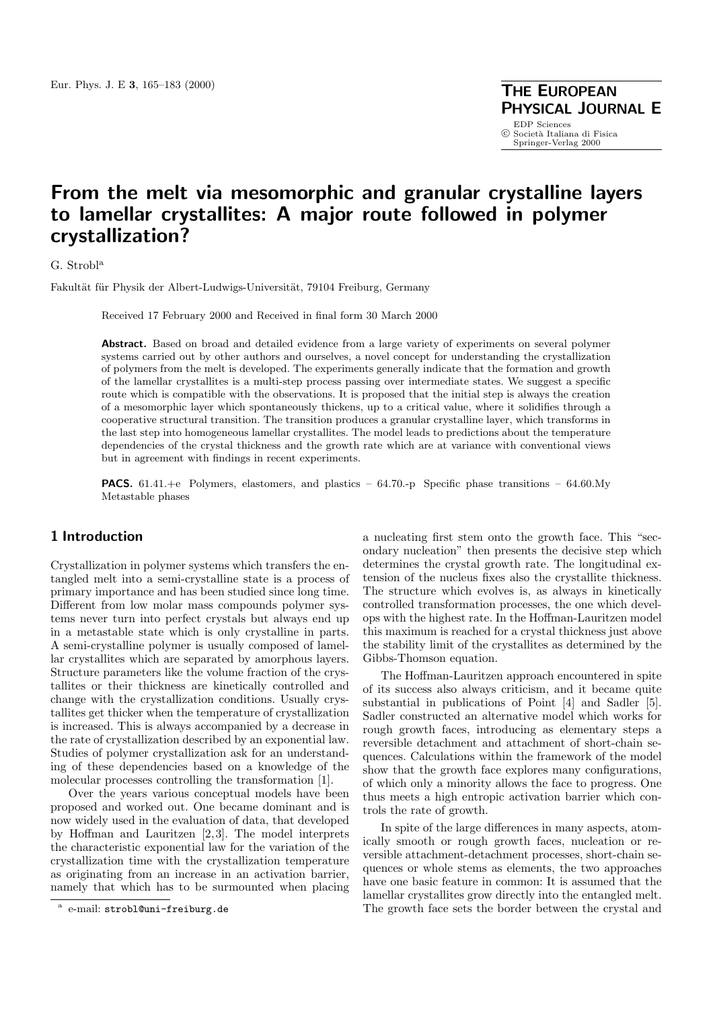# **From the melt via mesomorphic and granular crystalline layers to lamellar crystallites: A major route followed in polymer crystallization?**

#### G. Strobl<sup>a</sup>

Fakultät für Physik der Albert-Ludwigs-Universität, 79104 Freiburg, Germany

Received 17 February 2000 and Received in final form 30 March 2000

**Abstract.** Based on broad and detailed evidence from a large variety of experiments on several polymer systems carried out by other authors and ourselves, a novel concept for understanding the crystallization of polymers from the melt is developed. The experiments generally indicate that the formation and growth of the lamellar crystallites is a multi-step process passing over intermediate states. We suggest a specific route which is compatible with the observations. It is proposed that the initial step is always the creation of a mesomorphic layer which spontaneously thickens, up to a critical value, where it solidifies through a cooperative structural transition. The transition produces a granular crystalline layer, which transforms in the last step into homogeneous lamellar crystallites. The model leads to predictions about the temperature dependencies of the crystal thickness and the growth rate which are at variance with conventional views but in agreement with findings in recent experiments.

**PACS.** 61.41.+e Polymers, elastomers, and plastics – 64.70.-p Specific phase transitions – 64.60.My Metastable phases

## **1 Introduction**

Crystallization in polymer systems which transfers the entangled melt into a semi-crystalline state is a process of primary importance and has been studied since long time. Different from low molar mass compounds polymer systems never turn into perfect crystals but always end up in a metastable state which is only crystalline in parts. A semi-crystalline polymer is usually composed of lamellar crystallites which are separated by amorphous layers. Structure parameters like the volume fraction of the crystallites or their thickness are kinetically controlled and change with the crystallization conditions. Usually crystallites get thicker when the temperature of crystallization is increased. This is always accompanied by a decrease in the rate of crystallization described by an exponential law. Studies of polymer crystallization ask for an understanding of these dependencies based on a knowledge of the molecular processes controlling the transformation [1].

Over the years various conceptual models have been proposed and worked out. One became dominant and is now widely used in the evaluation of data, that developed by Hoffman and Lauritzen [2, 3]. The model interprets the characteristic exponential law for the variation of the crystallization time with the crystallization temperature as originating from an increase in an activation barrier, namely that which has to be surmounted when placing a nucleating first stem onto the growth face. This "secondary nucleation" then presents the decisive step which determines the crystal growth rate. The longitudinal extension of the nucleus fixes also the crystallite thickness. The structure which evolves is, as always in kinetically controlled transformation processes, the one which develops with the highest rate. In the Hoffman-Lauritzen model this maximum is reached for a crystal thickness just above the stability limit of the crystallites as determined by the Gibbs-Thomson equation.

The Hoffman-Lauritzen approach encountered in spite of its success also always criticism, and it became quite substantial in publications of Point [4] and Sadler [5]. Sadler constructed an alternative model which works for rough growth faces, introducing as elementary steps a reversible detachment and attachment of short-chain sequences. Calculations within the framework of the model show that the growth face explores many configurations, of which only a minority allows the face to progress. One thus meets a high entropic activation barrier which controls the rate of growth.

In spite of the large differences in many aspects, atomically smooth or rough growth faces, nucleation or reversible attachment-detachment processes, short-chain sequences or whole stems as elements, the two approaches have one basic feature in common: It is assumed that the lamellar crystallites grow directly into the entangled melt. The growth face sets the border between the crystal and

e-mail: strobl@uni-freiburg.de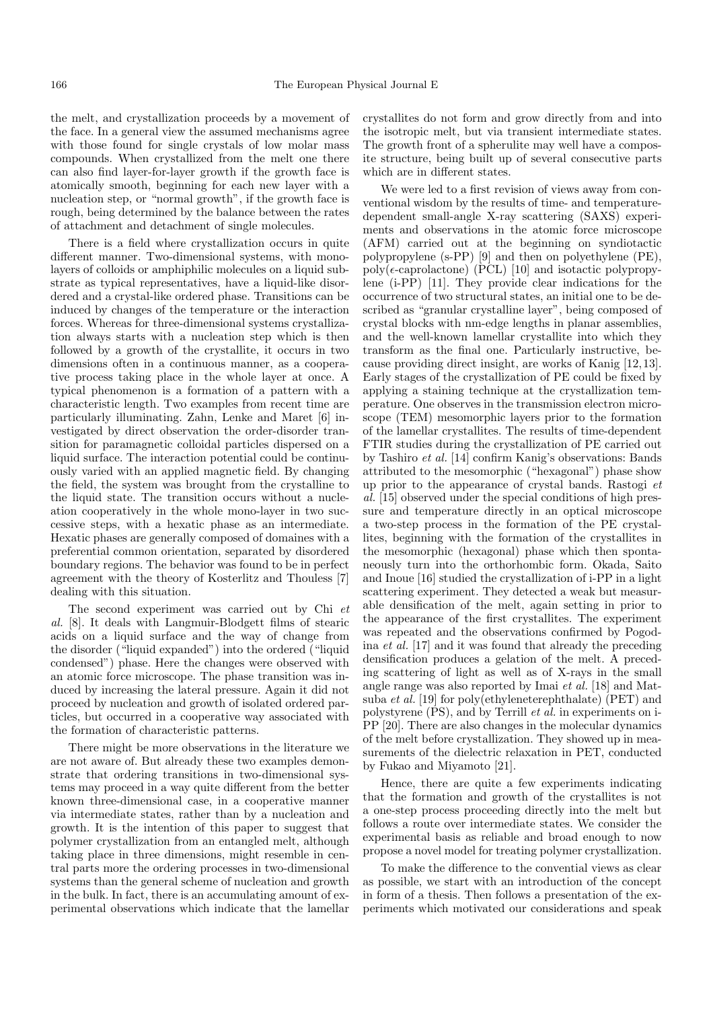the melt, and crystallization proceeds by a movement of the face. In a general view the assumed mechanisms agree with those found for single crystals of low molar mass compounds. When crystallized from the melt one there can also find layer-for-layer growth if the growth face is atomically smooth, beginning for each new layer with a nucleation step, or "normal growth", if the growth face is rough, being determined by the balance between the rates of attachment and detachment of single molecules.

There is a field where crystallization occurs in quite different manner. Two-dimensional systems, with monolayers of colloids or amphiphilic molecules on a liquid substrate as typical representatives, have a liquid-like disordered and a crystal-like ordered phase. Transitions can be induced by changes of the temperature or the interaction forces. Whereas for three-dimensional systems crystallization always starts with a nucleation step which is then followed by a growth of the crystallite, it occurs in two dimensions often in a continuous manner, as a cooperative process taking place in the whole layer at once. A typical phenomenon is a formation of a pattern with a characteristic length. Two examples from recent time are particularly illuminating. Zahn, Lenke and Maret [6] investigated by direct observation the order-disorder transition for paramagnetic colloidal particles dispersed on a liquid surface. The interaction potential could be continuously varied with an applied magnetic field. By changing the field, the system was brought from the crystalline to the liquid state. The transition occurs without a nucleation cooperatively in the whole mono-layer in two successive steps, with a hexatic phase as an intermediate. Hexatic phases are generally composed of domaines with a preferential common orientation, separated by disordered boundary regions. The behavior was found to be in perfect agreement with the theory of Kosterlitz and Thouless [7] dealing with this situation.

The second experiment was carried out by Chi *et al.* [8]. It deals with Langmuir-Blodgett films of stearic acids on a liquid surface and the way of change from the disorder ("liquid expanded") into the ordered ("liquid condensed") phase. Here the changes were observed with an atomic force microscope. The phase transition was induced by increasing the lateral pressure. Again it did not proceed by nucleation and growth of isolated ordered particles, but occurred in a cooperative way associated with the formation of characteristic patterns.

There might be more observations in the literature we are not aware of. But already these two examples demonstrate that ordering transitions in two-dimensional systems may proceed in a way quite different from the better known three-dimensional case, in a cooperative manner via intermediate states, rather than by a nucleation and growth. It is the intention of this paper to suggest that polymer crystallization from an entangled melt, although taking place in three dimensions, might resemble in central parts more the ordering processes in two-dimensional systems than the general scheme of nucleation and growth in the bulk. In fact, there is an accumulating amount of experimental observations which indicate that the lamellar crystallites do not form and grow directly from and into the isotropic melt, but via transient intermediate states. The growth front of a spherulite may well have a composite structure, being built up of several consecutive parts which are in different states.

We were led to a first revision of views away from conventional wisdom by the results of time- and temperaturedependent small-angle X-ray scattering (SAXS) experiments and observations in the atomic force microscope (AFM) carried out at the beginning on syndiotactic polypropylene (s-PP) [9] and then on polyethylene (PE),  $poly(\epsilon$ -caprolactone) (PCL) [10] and isotactic polypropylene (i-PP) [11]. They provide clear indications for the occurrence of two structural states, an initial one to be described as "granular crystalline layer", being composed of crystal blocks with nm-edge lengths in planar assemblies, and the well-known lamellar crystallite into which they transform as the final one. Particularly instructive, because providing direct insight, are works of Kanig [12, 13]. Early stages of the crystallization of PE could be fixed by applying a staining technique at the crystallization temperature. One observes in the transmission electron microscope (TEM) mesomorphic layers prior to the formation of the lamellar crystallites. The results of time-dependent FTIR studies during the crystallization of PE carried out by Tashiro *et al.* [14] confirm Kanig's observations: Bands attributed to the mesomorphic ("hexagonal") phase show up prior to the appearance of crystal bands. Rastogi *et al.* [15] observed under the special conditions of high pressure and temperature directly in an optical microscope a two-step process in the formation of the PE crystallites, beginning with the formation of the crystallites in the mesomorphic (hexagonal) phase which then spontaneously turn into the orthorhombic form. Okada, Saito and Inoue [16] studied the crystallization of i-PP in a light scattering experiment. They detected a weak but measurable densification of the melt, again setting in prior to the appearance of the first crystallites. The experiment was repeated and the observations confirmed by Pogodina *et al.* [17] and it was found that already the preceding densification produces a gelation of the melt. A preceding scattering of light as well as of X-rays in the small angle range was also reported by Imai *et al.* [18] and Matsuba *et al.* [19] for poly(ethyleneterephthalate) (PET) and polystyrene (PS), and by Terrill *et al.* in experiments on i-PP [20]. There are also changes in the molecular dynamics of the melt before crystallization. They showed up in measurements of the dielectric relaxation in PET, conducted by Fukao and Miyamoto [21].

Hence, there are quite a few experiments indicating that the formation and growth of the crystallites is not a one-step process proceeding directly into the melt but follows a route over intermediate states. We consider the experimental basis as reliable and broad enough to now propose a novel model for treating polymer crystallization.

To make the difference to the convential views as clear as possible, we start with an introduction of the concept in form of a thesis. Then follows a presentation of the experiments which motivated our considerations and speak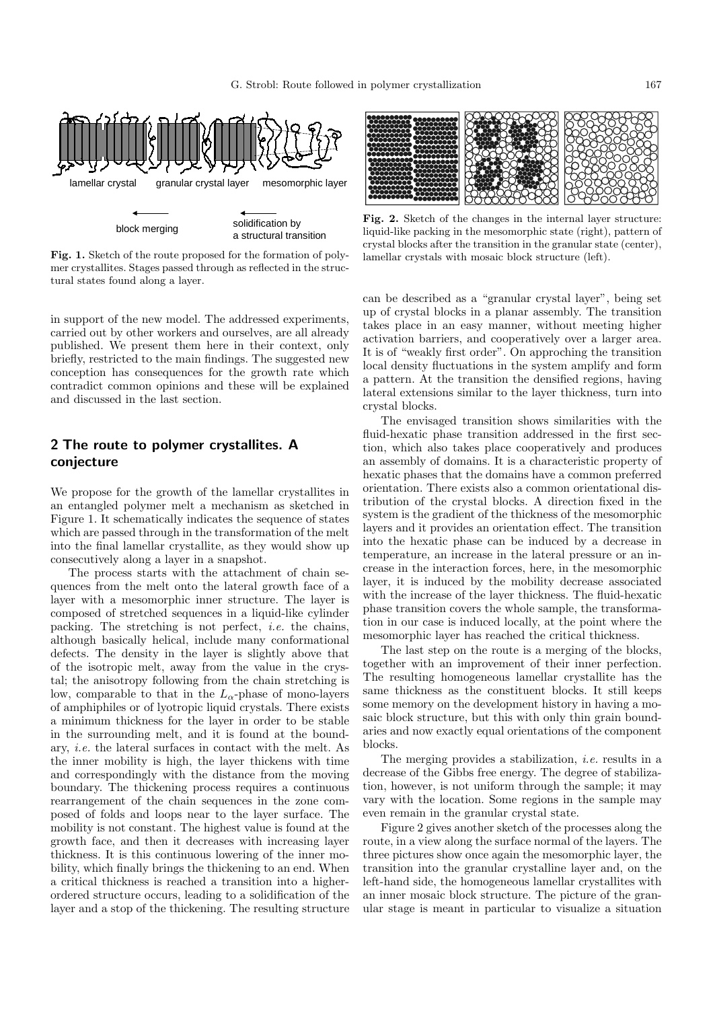

**Fig. 1.** Sketch of the route proposed for the formation of polymer crystallites. Stages passed through as reflected in the structural states found along a layer.

in support of the new model. The addressed experiments, carried out by other workers and ourselves, are all already published. We present them here in their context, only briefly, restricted to the main findings. The suggested new conception has consequences for the growth rate which contradict common opinions and these will be explained and discussed in the last section.

# **2 The route to polymer crystallites. A conjecture**

We propose for the growth of the lamellar crystallites in an entangled polymer melt a mechanism as sketched in Figure 1. It schematically indicates the sequence of states which are passed through in the transformation of the melt into the final lamellar crystallite, as they would show up consecutively along a layer in a snapshot.

The process starts with the attachment of chain sequences from the melt onto the lateral growth face of a layer with a mesomorphic inner structure. The layer is composed of stretched sequences in a liquid-like cylinder packing. The stretching is not perfect, *i.e.* the chains, although basically helical, include many conformational defects. The density in the layer is slightly above that of the isotropic melt, away from the value in the crystal; the anisotropy following from the chain stretching is low, comparable to that in the  $L_{\alpha}$ -phase of mono-layers of amphiphiles or of lyotropic liquid crystals. There exists a minimum thickness for the layer in order to be stable in the surrounding melt, and it is found at the boundary, *i.e.* the lateral surfaces in contact with the melt. As the inner mobility is high, the layer thickens with time and correspondingly with the distance from the moving boundary. The thickening process requires a continuous rearrangement of the chain sequences in the zone composed of folds and loops near to the layer surface. The mobility is not constant. The highest value is found at the growth face, and then it decreases with increasing layer thickness. It is this continuous lowering of the inner mobility, which finally brings the thickening to an end. When a critical thickness is reached a transition into a higherordered structure occurs, leading to a solidification of the layer and a stop of the thickening. The resulting structure



Fig. 2. Sketch of the changes in the internal layer structure: liquid-like packing in the mesomorphic state (right), pattern of crystal blocks after the transition in the granular state (center), lamellar crystals with mosaic block structure (left).

can be described as a "granular crystal layer", being set up of crystal blocks in a planar assembly. The transition takes place in an easy manner, without meeting higher activation barriers, and cooperatively over a larger area. It is of "weakly first order". On approching the transition local density fluctuations in the system amplify and form a pattern. At the transition the densified regions, having lateral extensions similar to the layer thickness, turn into crystal blocks.

The envisaged transition shows similarities with the fluid-hexatic phase transition addressed in the first section, which also takes place cooperatively and produces an assembly of domains. It is a characteristic property of hexatic phases that the domains have a common preferred orientation. There exists also a common orientational distribution of the crystal blocks. A direction fixed in the system is the gradient of the thickness of the mesomorphic layers and it provides an orientation effect. The transition into the hexatic phase can be induced by a decrease in temperature, an increase in the lateral pressure or an increase in the interaction forces, here, in the mesomorphic layer, it is induced by the mobility decrease associated with the increase of the layer thickness. The fluid-hexatic phase transition covers the whole sample, the transformation in our case is induced locally, at the point where the mesomorphic layer has reached the critical thickness.

The last step on the route is a merging of the blocks, together with an improvement of their inner perfection. The resulting homogeneous lamellar crystallite has the same thickness as the constituent blocks. It still keeps some memory on the development history in having a mosaic block structure, but this with only thin grain boundaries and now exactly equal orientations of the component blocks.

The merging provides a stabilization, *i.e.* results in a decrease of the Gibbs free energy. The degree of stabilization, however, is not uniform through the sample; it may vary with the location. Some regions in the sample may even remain in the granular crystal state.

Figure 2 gives another sketch of the processes along the route, in a view along the surface normal of the layers. The three pictures show once again the mesomorphic layer, the transition into the granular crystalline layer and, on the left-hand side, the homogeneous lamellar crystallites with an inner mosaic block structure. The picture of the granular stage is meant in particular to visualize a situation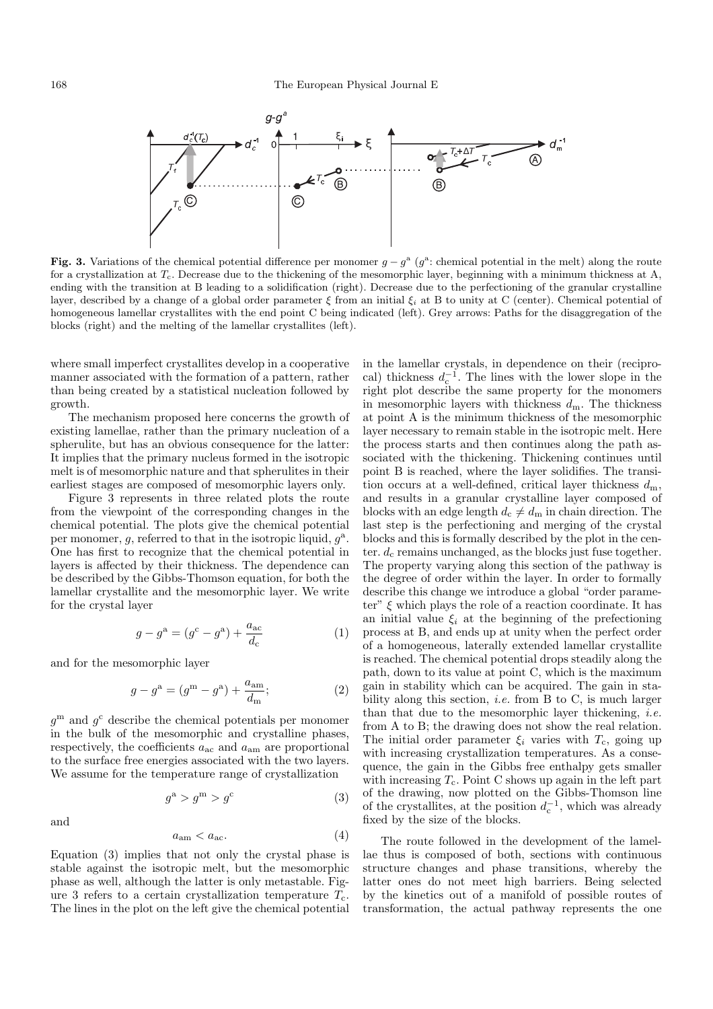

**Fig. 3.** Variations of the chemical potential difference per monomer  $g - g^a$  ( $g^a$ : chemical potential in the melt) along the route for a crystallization at  $T_c$ . Decrease due to the thickening of the mesomorphic layer, beginning with a minimum thickness at A, ending with the transition at B leading to a solidification (right). Decrease due to the perfectioning of the granular crystalline layer, described by a change of a global order parameter  $\xi$  from an initial  $\xi_i$  at B to unity at C (center). Chemical potential of homogeneous lamellar crystallites with the end point C being indicated (left). Grey arrows: Paths for the disaggregation of the blocks (right) and the melting of the lamellar crystallites (left).

where small imperfect crystallites develop in a cooperative manner associated with the formation of a pattern, rather than being created by a statistical nucleation followed by growth.

The mechanism proposed here concerns the growth of existing lamellae, rather than the primary nucleation of a spherulite, but has an obvious consequence for the latter: It implies that the primary nucleus formed in the isotropic melt is of mesomorphic nature and that spherulites in their earliest stages are composed of mesomorphic layers only.

Figure 3 represents in three related plots the route from the viewpoint of the corresponding changes in the chemical potential. The plots give the chemical potential per monomer, g, referred to that in the isotropic liquid,  $g^a$ . One has first to recognize that the chemical potential in layers is affected by their thickness. The dependence can be described by the Gibbs-Thomson equation, for both the lamellar crystallite and the mesomorphic layer. We write for the crystal layer

$$
g - g^a = (g^c - g^a) + \frac{a_{ac}}{d_c}
$$
 (1)

and for the mesomorphic layer

$$
g - g^a = (g^m - g^a) + \frac{a_{\rm am}}{d_{\rm m}};
$$
 (2)

 $g^{\text{m}}$  and  $g^{\text{c}}$  describe the chemical potentials per monomer in the bulk of the mesomorphic and crystalline phases, respectively, the coefficients  $a_{\text{ac}}$  and  $a_{\text{am}}$  are proportional to the surface free energies associated with the two layers. We assume for the temperature range of crystallization

$$
g^{\rm a} > g^{\rm m} > g^{\rm c} \tag{3}
$$

and

$$
a_{\rm am} < a_{\rm ac}.\tag{4}
$$

Equation (3) implies that not only the crystal phase is stable against the isotropic melt, but the mesomorphic phase as well, although the latter is only metastable. Figure 3 refers to a certain crystallization temperature  $T_c$ . The lines in the plot on the left give the chemical potential

in the lamellar crystals, in dependence on their (reciprocal) thickness  $d_c^{-1}$ . The lines with the lower slope in the right plot describe the same property for the monomers in mesomorphic layers with thickness  $d_m$ . The thickness at point A is the minimum thickness of the mesomorphic layer necessary to remain stable in the isotropic melt. Here the process starts and then continues along the path associated with the thickening. Thickening continues until point B is reached, where the layer solidifies. The transition occurs at a well-defined, critical layer thickness  $d_m$ , and results in a granular crystalline layer composed of blocks with an edge length  $d_c \neq d_m$  in chain direction. The last step is the perfectioning and merging of the crystal blocks and this is formally described by the plot in the center.  $d_c$  remains unchanged, as the blocks just fuse together. The property varying along this section of the pathway is the degree of order within the layer. In order to formally describe this change we introduce a global "order parameter" ξ which plays the role of a reaction coordinate. It has an initial value  $\xi_i$  at the beginning of the prefectioning process at B, and ends up at unity when the perfect order of a homogeneous, laterally extended lamellar crystallite is reached. The chemical potential drops steadily along the path, down to its value at point C, which is the maximum gain in stability which can be acquired. The gain in stability along this section, *i.e.* from B to C, is much larger than that due to the mesomorphic layer thickening, *i.e.* from A to B; the drawing does not show the real relation. The initial order parameter  $\xi_i$  varies with  $T_c$ , going up with increasing crystallization temperatures. As a consequence, the gain in the Gibbs free enthalpy gets smaller with increasing  $T_c$ . Point C shows up again in the left part of the drawing, now plotted on the Gibbs-Thomson line of the crystallites, at the position  $d_c^{-1}$ , which was already fixed by the size of the blocks.

The route followed in the development of the lamellae thus is composed of both, sections with continuous structure changes and phase transitions, whereby the latter ones do not meet high barriers. Being selected by the kinetics out of a manifold of possible routes of transformation, the actual pathway represents the one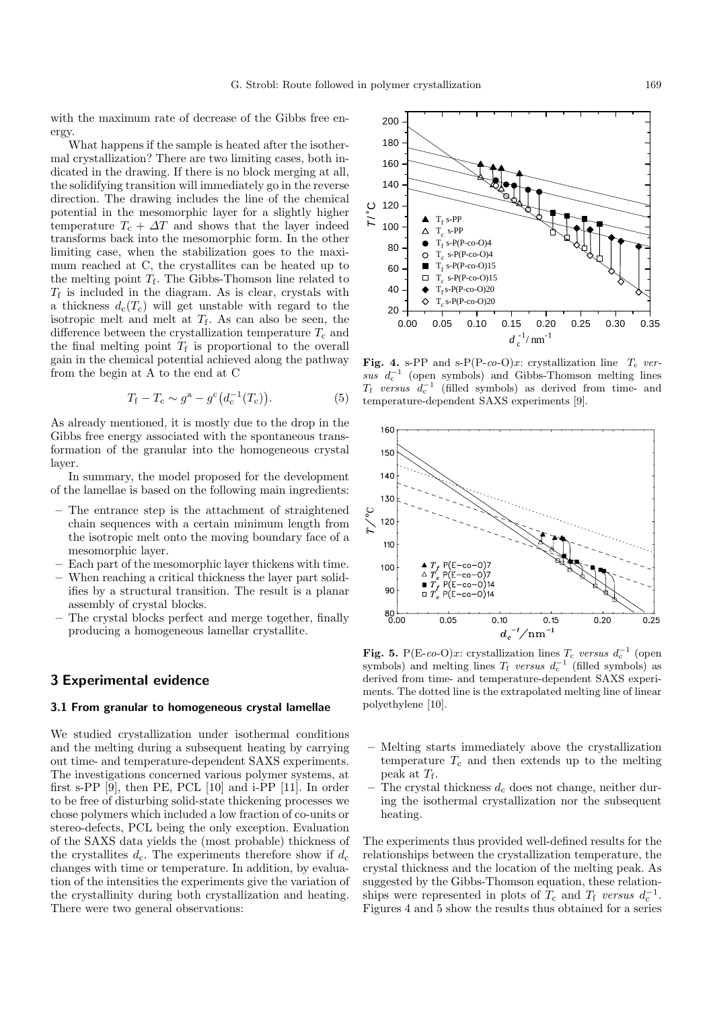with the maximum rate of decrease of the Gibbs free energy.

What happens if the sample is heated after the isothermal crystallization? There are two limiting cases, both indicated in the drawing. If there is no block merging at all, the solidifying transition will immediately go in the reverse direction. The drawing includes the line of the chemical potential in the mesomorphic layer for a slightly higher temperature  $T_c + \Delta T$  and shows that the layer indeed transforms back into the mesomorphic form. In the other limiting case, when the stabilization goes to the maximum reached at C, the crystallites can be heated up to the melting point  $T_f$ . The Gibbs-Thomson line related to  $T_f$  is included in the diagram. As is clear, crystals with a thickness  $d_c(T_c)$  will get unstable with regard to the isotropic melt and melt at  $T_f$ . As can also be seen, the difference between the crystallization temperature  $T_c$  and the final melting point  $T_f$  is proportional to the overall gain in the chemical potential achieved along the pathway from the begin at A to the end at C

$$
T_{\rm f} - T_{\rm c} \sim g^{\rm a} - g^{\rm c} (d_{\rm c}^{-1}(T_{\rm c})). \tag{5}
$$

As already mentioned, it is mostly due to the drop in the Gibbs free energy associated with the spontaneous transformation of the granular into the homogeneous crystal layer.

In summary, the model proposed for the development of the lamellae is based on the following main ingredients:

- **–** The entrance step is the attachment of straightened chain sequences with a certain minimum length from the isotropic melt onto the moving boundary face of a mesomorphic layer.
- **–** Each part of the mesomorphic layer thickens with time.
- **–** When reaching a critical thickness the layer part solidifies by a structural transition. The result is a planar assembly of crystal blocks.
- **–** The crystal blocks perfect and merge together, finally producing a homogeneous lamellar crystallite.

# **3 Experimental evidence**

#### **3.1 From granular to homogeneous crystal lamellae**

We studied crystallization under isothermal conditions and the melting during a subsequent heating by carrying out time- and temperature-dependent SAXS experiments. The investigations concerned various polymer systems, at first s-PP [9], then PE, PCL [10] and i-PP [11]. In order to be free of disturbing solid-state thickening processes we chose polymers which included a low fraction of co-units or stereo-defects, PCL being the only exception. Evaluation of the SAXS data yields the (most probable) thickness of the crystallites  $d_c$ . The experiments therefore show if  $d_c$ changes with time or temperature. In addition, by evaluation of the intensities the experiments give the variation of the crystallinity during both crystallization and heating. There were two general observations:



**Fig. 4.** s-PP and s-P(P-co-O)x: crystallization line  $T_c$  versus  $d_c^{-1}$  (open symbols) and Gibbs-Thomson melting lines  $T_f$  versus  $d_c^{-1}$  (filled symbols) as derived from time- and temperature-dependent SAXS experiments [9].



**Fig. 5.** P(E-co-O)x: crystallization lines  $T_c$  versus  $d_c^{-1}$  (open symbols) and melting lines  $T_f$  versus  $d_c^{-1}$  (filled symbols) as derived from time- and temperature-dependent SAXS experiments. The dotted line is the extrapolated melting line of linear polyethylene [10].

- **–** Melting starts immediately above the crystallization temperature  $T_c$  and then extends up to the melting peak at  $T_{\rm f}$ .
- The crystal thickness  $d_c$  does not change, neither during the isothermal crystallization nor the subsequent heating.

The experiments thus provided well-defined results for the relationships between the crystallization temperature, the crystal thickness and the location of the melting peak. As suggested by the Gibbs-Thomson equation, these relationships were represented in plots of  $T_c$  and  $T_f$  *versus*  $d_c^{-1}$ . Figures 4 and 5 show the results thus obtained for a series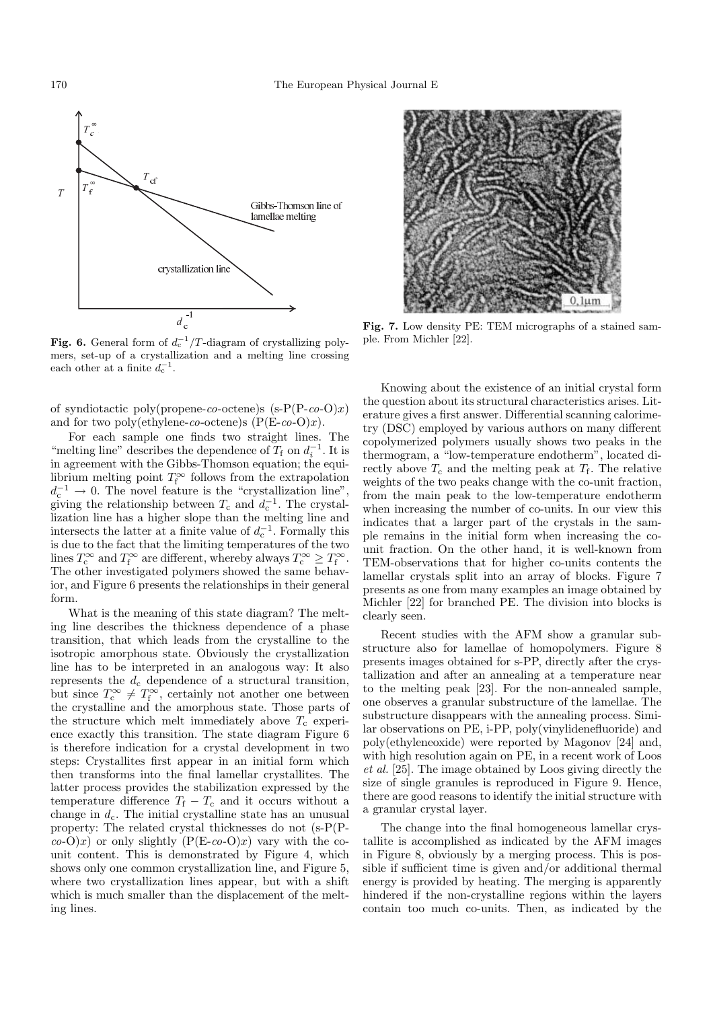

**Fig. 6.** General form of  $d_c^{-1}/T$ -diagram of crystallizing polymers, set-up of a crystallization and a melting line crossing each other at a finite  $d_c^{-1}$ .

of syndiotactic poly(propene-*co*-octene)s (s-P(P-*co*-O)x) and for two poly(ethylene-*co*-octene)s (P(E-*co*-O)x).

For each sample one finds two straight lines. The "melting line" describes the dependence of  $T_f$  on  $d_i^{-1}$ . It is in agreement with the Gibbs-Thomson equation; the equilibrium melting point  $T_f^{\infty}$  follows from the extrapolation  $d_c^{-1} \to 0$ . The novel feature is the "crystallization line", giving the relationship between  $T_c$  and  $d_c^{-1}$ . The crystallization line has a higher slope than the melting line and intersects the latter at a finite value of  $d_c^{-1}$ . Formally this is due to the fact that the limiting temperatures of the two lines  $T_c^{\infty}$  and  $T_f^{\infty}$  are different, whereby always  $T_c^{\infty} \geq T_f^{\infty}$ . The other investigated polymers showed the same behavior, and Figure 6 presents the relationships in their general form.

What is the meaning of this state diagram? The melting line describes the thickness dependence of a phase transition, that which leads from the crystalline to the isotropic amorphous state. Obviously the crystallization line has to be interpreted in an analogous way: It also represents the  $d_c$  dependence of a structural transition, but since  $T_c^{\infty} \neq T_f^{\infty}$ , certainly not another one between the crystalline and the amorphous state. Those parts of the structure which melt immediately above  $T_c$  experience exactly this transition. The state diagram Figure 6 is therefore indication for a crystal development in two steps: Crystallites first appear in an initial form which then transforms into the final lamellar crystallites. The latter process provides the stabilization expressed by the temperature difference  $T_f - T_c$  and it occurs without a change in  $d_c$ . The initial crystalline state has an unusual property: The related crystal thicknesses do not (s-P(P $co-O(x)$  or only slightly  $(P(E-co-O)x)$  vary with the counit content. This is demonstrated by Figure 4, which shows only one common crystallization line, and Figure 5, where two crystallization lines appear, but with a shift which is much smaller than the displacement of the melting lines.



**Fig. 7.** Low density PE: TEM micrographs of a stained sample. From Michler [22].

Knowing about the existence of an initial crystal form the question about its structural characteristics arises. Literature gives a first answer. Differential scanning calorimetry (DSC) employed by various authors on many different copolymerized polymers usually shows two peaks in the thermogram, a "low-temperature endotherm", located directly above  $T_c$  and the melting peak at  $T_f$ . The relative weights of the two peaks change with the co-unit fraction, from the main peak to the low-temperature endotherm when increasing the number of co-units. In our view this indicates that a larger part of the crystals in the sample remains in the initial form when increasing the counit fraction. On the other hand, it is well-known from TEM-observations that for higher co-units contents the lamellar crystals split into an array of blocks. Figure 7 presents as one from many examples an image obtained by Michler [22] for branched PE. The division into blocks is clearly seen.

Recent studies with the AFM show a granular substructure also for lamellae of homopolymers. Figure 8 presents images obtained for s-PP, directly after the crystallization and after an annealing at a temperature near to the melting peak [23]. For the non-annealed sample, one observes a granular substructure of the lamellae. The substructure disappears with the annealing process. Similar observations on PE, i-PP, poly(vinylidenefluoride) and poly(ethyleneoxide) were reported by Magonov [24] and, with high resolution again on PE, in a recent work of Loos *et al.* [25]. The image obtained by Loos giving directly the size of single granules is reproduced in Figure 9. Hence, there are good reasons to identify the initial structure with a granular crystal layer.

The change into the final homogeneous lamellar crystallite is accomplished as indicated by the AFM images in Figure 8, obviously by a merging process. This is possible if sufficient time is given and/or additional thermal energy is provided by heating. The merging is apparently hindered if the non-crystalline regions within the layers contain too much co-units. Then, as indicated by the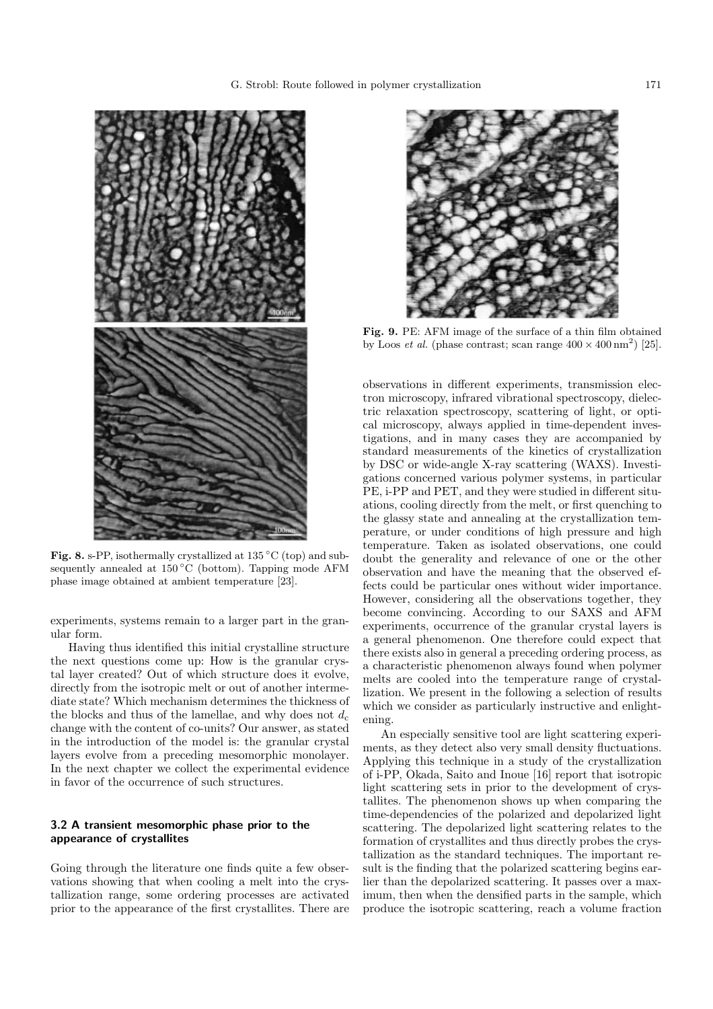

Fig. 8. s-PP, isothermally crystallized at 135 °C (top) and subsequently annealed at  $150\,^{\circ}\text{C}$  (bottom). Tapping mode AFM phase image obtained at ambient temperature [23].

experiments, systems remain to a larger part in the granular form.

Having thus identified this initial crystalline structure the next questions come up: How is the granular crystal layer created? Out of which structure does it evolve, directly from the isotropic melt or out of another intermediate state? Which mechanism determines the thickness of the blocks and thus of the lamellae, and why does not  $d_c$ change with the content of co-units? Our answer, as stated in the introduction of the model is: the granular crystal layers evolve from a preceding mesomorphic monolayer. In the next chapter we collect the experimental evidence in favor of the occurrence of such structures.

#### **3.2 A transient mesomorphic phase prior to the appearance of crystallites**

Going through the literature one finds quite a few observations showing that when cooling a melt into the crystallization range, some ordering processes are activated prior to the appearance of the first crystallites. There are



**Fig. 9.** PE: AFM image of the surface of a thin film obtained by Loos et al. (phase contrast; scan range  $400 \times 400 \,\text{nm}^2$ ) [25].

observations in different experiments, transmission electron microscopy, infrared vibrational spectroscopy, dielectric relaxation spectroscopy, scattering of light, or optical microscopy, always applied in time-dependent investigations, and in many cases they are accompanied by standard measurements of the kinetics of crystallization by DSC or wide-angle X-ray scattering (WAXS). Investigations concerned various polymer systems, in particular PE, i-PP and PET, and they were studied in different situations, cooling directly from the melt, or first quenching to the glassy state and annealing at the crystallization temperature, or under conditions of high pressure and high temperature. Taken as isolated observations, one could doubt the generality and relevance of one or the other observation and have the meaning that the observed effects could be particular ones without wider importance. However, considering all the observations together, they become convincing. According to our SAXS and AFM experiments, occurrence of the granular crystal layers is a general phenomenon. One therefore could expect that there exists also in general a preceding ordering process, as a characteristic phenomenon always found when polymer melts are cooled into the temperature range of crystallization. We present in the following a selection of results which we consider as particularly instructive and enlightening.

An especially sensitive tool are light scattering experiments, as they detect also very small density fluctuations. Applying this technique in a study of the crystallization of i-PP, Okada, Saito and Inoue [16] report that isotropic light scattering sets in prior to the development of crystallites. The phenomenon shows up when comparing the time-dependencies of the polarized and depolarized light scattering. The depolarized light scattering relates to the formation of crystallites and thus directly probes the crystallization as the standard techniques. The important result is the finding that the polarized scattering begins earlier than the depolarized scattering. It passes over a maximum, then when the densified parts in the sample, which produce the isotropic scattering, reach a volume fraction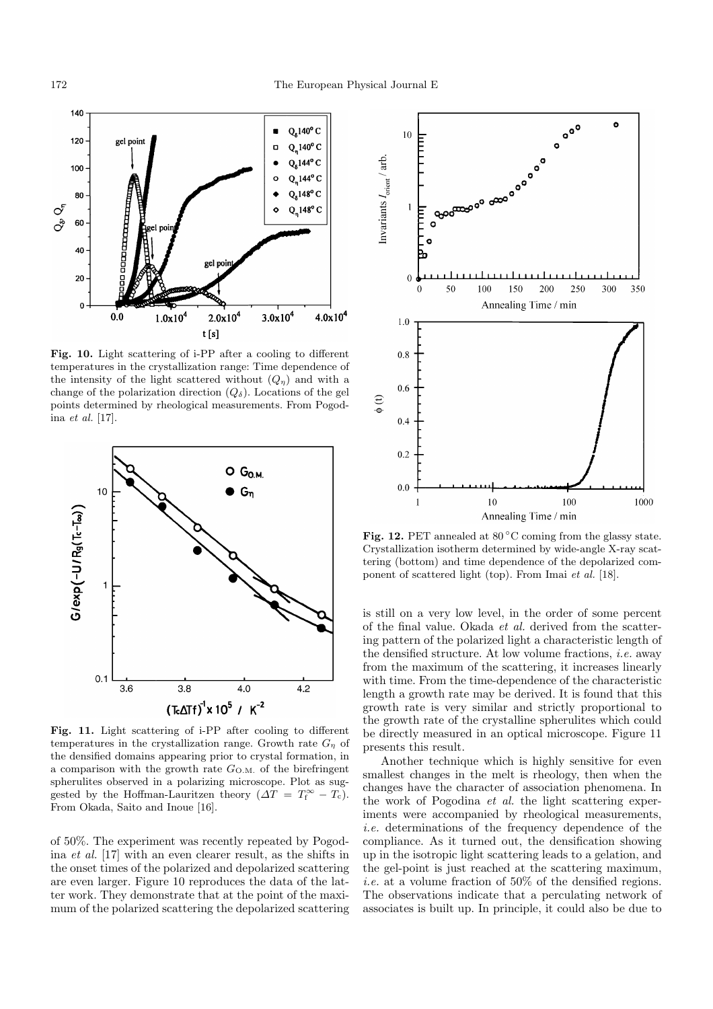

**Fig. 10.** Light scattering of i-PP after a cooling to different temperatures in the crystallization range: Time dependence of the intensity of the light scattered without  $(Q_n)$  and with a change of the polarization direction  $(Q_{\delta})$ . Locations of the gel points determined by rheological measurements. From Pogodina et al. [17].



**Fig. 11.** Light scattering of i-PP after cooling to different temperatures in the crystallization range. Growth rate  $G_n$  of the densified domains appearing prior to crystal formation, in a comparison with the growth rate  $G_{\text{O.M.}}$  of the birefringent spherulites observed in a polarizing microscope. Plot as suggested by the Hoffman-Lauritzen theory  $(\Delta T = T_f^{\infty} - T_c)$ . From Okada, Saito and Inoue [16].

of 50%. The experiment was recently repeated by Pogodina *et al.* [17] with an even clearer result, as the shifts in the onset times of the polarized and depolarized scattering are even larger. Figure 10 reproduces the data of the latter work. They demonstrate that at the point of the maximum of the polarized scattering the depolarized scattering



Fig. 12. PET annealed at 80 °C coming from the glassy state. Crystallization isotherm determined by wide-angle X-ray scattering (bottom) and time dependence of the depolarized component of scattered light (top). From Imai et al. [18].

is still on a very low level, in the order of some percent of the final value. Okada *et al.* derived from the scattering pattern of the polarized light a characteristic length of the densified structure. At low volume fractions, *i.e.* away from the maximum of the scattering, it increases linearly with time. From the time-dependence of the characteristic length a growth rate may be derived. It is found that this growth rate is very similar and strictly proportional to the growth rate of the crystalline spherulites which could be directly measured in an optical microscope. Figure 11 presents this result.

Another technique which is highly sensitive for even smallest changes in the melt is rheology, then when the changes have the character of association phenomena. In the work of Pogodina *et al.* the light scattering experiments were accompanied by rheological measurements, *i.e.* determinations of the frequency dependence of the compliance. As it turned out, the densification showing up in the isotropic light scattering leads to a gelation, and the gel-point is just reached at the scattering maximum, *i.e.* at a volume fraction of 50% of the densified regions. The observations indicate that a perculating network of associates is built up. In principle, it could also be due to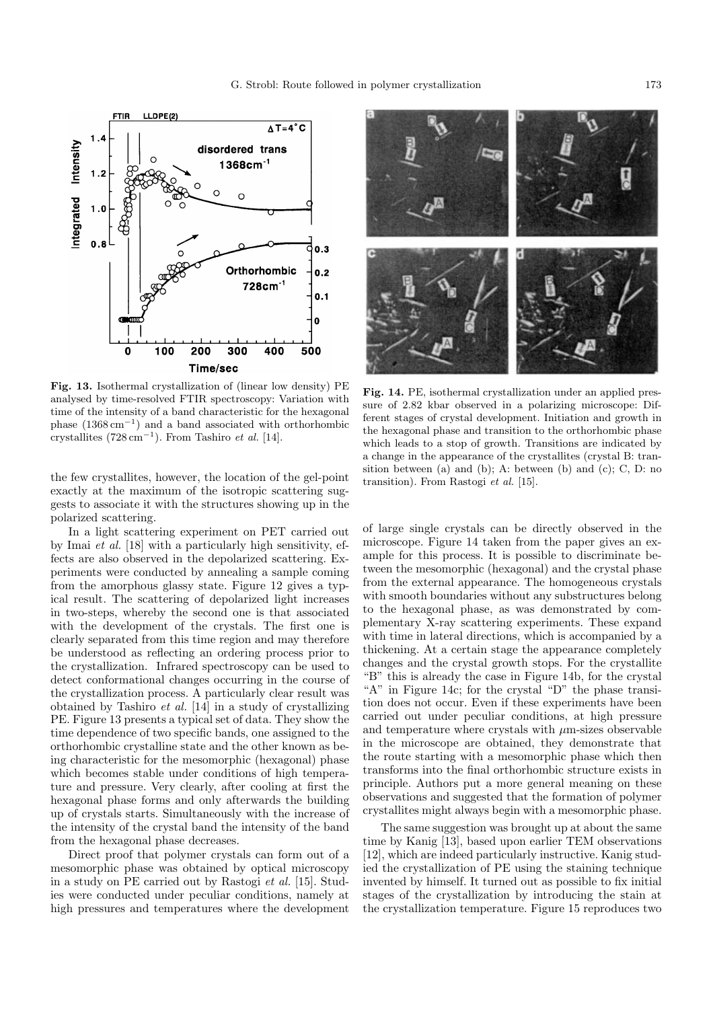

**Fig. 13.** Isothermal crystallization of (linear low density) PE analysed by time-resolved FTIR spectroscopy: Variation with time of the intensity of a band characteristic for the hexagonal phase  $(1368 \text{ cm}^{-1})$  and a band associated with orthorhombic crystallites  $(728 \text{ cm}^{-1})$ . From Tashiro et al. [14].

the few crystallites, however, the location of the gel-point exactly at the maximum of the isotropic scattering suggests to associate it with the structures showing up in the polarized scattering.

In a light scattering experiment on PET carried out by Imai *et al.* [18] with a particularly high sensitivity, effects are also observed in the depolarized scattering. Experiments were conducted by annealing a sample coming from the amorphous glassy state. Figure 12 gives a typical result. The scattering of depolarized light increases in two-steps, whereby the second one is that associated with the development of the crystals. The first one is clearly separated from this time region and may therefore be understood as reflecting an ordering process prior to the crystallization. Infrared spectroscopy can be used to detect conformational changes occurring in the course of the crystallization process. A particularly clear result was obtained by Tashiro *et al.* [14] in a study of crystallizing PE. Figure 13 presents a typical set of data. They show the time dependence of two specific bands, one assigned to the orthorhombic crystalline state and the other known as being characteristic for the mesomorphic (hexagonal) phase which becomes stable under conditions of high temperature and pressure. Very clearly, after cooling at first the hexagonal phase forms and only afterwards the building up of crystals starts. Simultaneously with the increase of the intensity of the crystal band the intensity of the band from the hexagonal phase decreases.

Direct proof that polymer crystals can form out of a mesomorphic phase was obtained by optical microscopy in a study on PE carried out by Rastogi *et al.* [15]. Studies were conducted under peculiar conditions, namely at high pressures and temperatures where the development



**Fig. 14.** PE, isothermal crystallization under an applied pressure of 2.82 kbar observed in a polarizing microscope: Different stages of crystal development. Initiation and growth in the hexagonal phase and transition to the orthorhombic phase which leads to a stop of growth. Transitions are indicated by a change in the appearance of the crystallites (crystal B: transition between (a) and (b); A: between (b) and (c); C, D: no transition). From Rastogi et al. [15].

of large single crystals can be directly observed in the microscope. Figure 14 taken from the paper gives an example for this process. It is possible to discriminate between the mesomorphic (hexagonal) and the crystal phase from the external appearance. The homogeneous crystals with smooth boundaries without any substructures belong to the hexagonal phase, as was demonstrated by complementary X-ray scattering experiments. These expand with time in lateral directions, which is accompanied by a thickening. At a certain stage the appearance completely changes and the crystal growth stops. For the crystallite "B" this is already the case in Figure 14b, for the crystal "A" in Figure 14c; for the crystal "D" the phase transition does not occur. Even if these experiments have been carried out under peculiar conditions, at high pressure and temperature where crystals with  $\mu$ m-sizes observable in the microscope are obtained, they demonstrate that the route starting with a mesomorphic phase which then transforms into the final orthorhombic structure exists in principle. Authors put a more general meaning on these observations and suggested that the formation of polymer crystallites might always begin with a mesomorphic phase.

The same suggestion was brought up at about the same time by Kanig [13], based upon earlier TEM observations [12], which are indeed particularly instructive. Kanig studied the crystallization of PE using the staining technique invented by himself. It turned out as possible to fix initial stages of the crystallization by introducing the stain at the crystallization temperature. Figure 15 reproduces two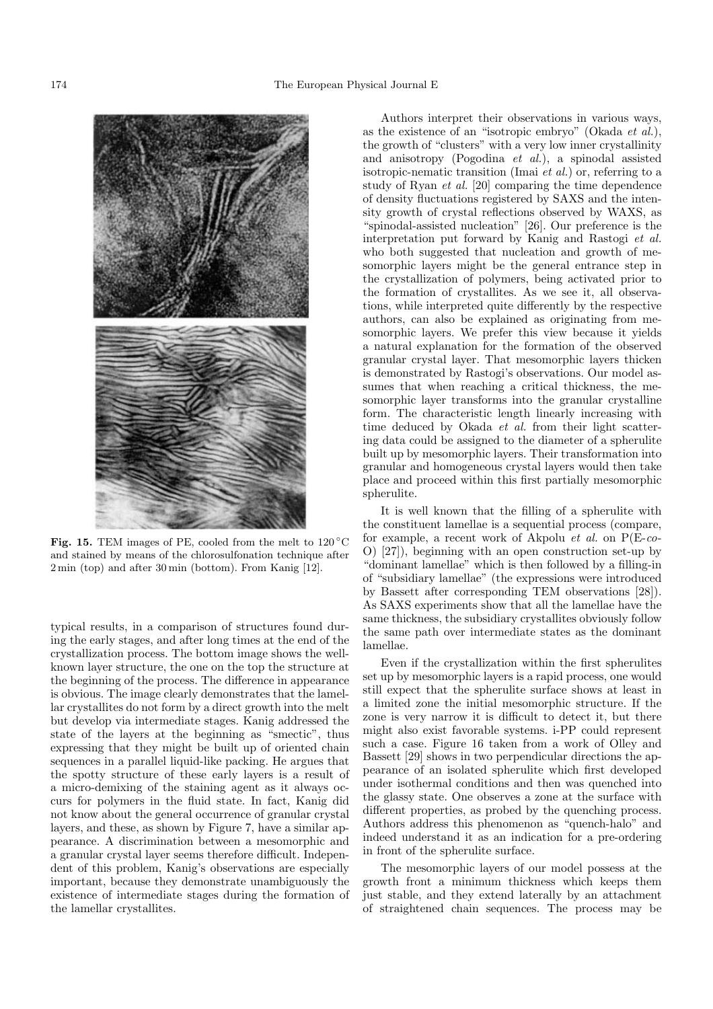

Fig. 15. TEM images of PE, cooled from the melt to  $120^{\circ}$ C and stained by means of the chlorosulfonation technique after 2 min (top) and after 30 min (bottom). From Kanig [12].

typical results, in a comparison of structures found during the early stages, and after long times at the end of the crystallization process. The bottom image shows the wellknown layer structure, the one on the top the structure at the beginning of the process. The difference in appearance is obvious. The image clearly demonstrates that the lamellar crystallites do not form by a direct growth into the melt but develop via intermediate stages. Kanig addressed the state of the layers at the beginning as "smectic", thus expressing that they might be built up of oriented chain sequences in a parallel liquid-like packing. He argues that the spotty structure of these early layers is a result of a micro-demixing of the staining agent as it always occurs for polymers in the fluid state. In fact, Kanig did not know about the general occurrence of granular crystal layers, and these, as shown by Figure 7, have a similar appearance. A discrimination between a mesomorphic and a granular crystal layer seems therefore difficult. Independent of this problem, Kanig's observations are especially important, because they demonstrate unambiguously the existence of intermediate stages during the formation of the lamellar crystallites.

Authors interpret their observations in various ways, as the existence of an "isotropic embryo" (Okada *et al.*), the growth of "clusters" with a very low inner crystallinity and anisotropy (Pogodina *et al.*), a spinodal assisted isotropic-nematic transition (Imai *et al.*) or, referring to a study of Ryan *et al.* [20] comparing the time dependence of density fluctuations registered by SAXS and the intensity growth of crystal reflections observed by WAXS, as "spinodal-assisted nucleation" [26]. Our preference is the interpretation put forward by Kanig and Rastogi *et al.* who both suggested that nucleation and growth of mesomorphic layers might be the general entrance step in the crystallization of polymers, being activated prior to the formation of crystallites. As we see it, all observations, while interpreted quite differently by the respective authors, can also be explained as originating from mesomorphic layers. We prefer this view because it yields a natural explanation for the formation of the observed granular crystal layer. That mesomorphic layers thicken is demonstrated by Rastogi's observations. Our model assumes that when reaching a critical thickness, the mesomorphic layer transforms into the granular crystalline form. The characteristic length linearly increasing with time deduced by Okada *et al.* from their light scattering data could be assigned to the diameter of a spherulite built up by mesomorphic layers. Their transformation into granular and homogeneous crystal layers would then take place and proceed within this first partially mesomorphic spherulite.

It is well known that the filling of a spherulite with the constituent lamellae is a sequential process (compare, for example, a recent work of Akpolu *et al.* on P(E-*co*-O) [27]), beginning with an open construction set-up by "dominant lamellae" which is then followed by a filling-in of "subsidiary lamellae" (the expressions were introduced by Bassett after corresponding TEM observations [28]). As SAXS experiments show that all the lamellae have the same thickness, the subsidiary crystallites obviously follow the same path over intermediate states as the dominant lamellae.

Even if the crystallization within the first spherulites set up by mesomorphic layers is a rapid process, one would still expect that the spherulite surface shows at least in a limited zone the initial mesomorphic structure. If the zone is very narrow it is difficult to detect it, but there might also exist favorable systems. i-PP could represent such a case. Figure 16 taken from a work of Olley and Bassett [29] shows in two perpendicular directions the appearance of an isolated spherulite which first developed under isothermal conditions and then was quenched into the glassy state. One observes a zone at the surface with different properties, as probed by the quenching process. Authors address this phenomenon as "quench-halo" and indeed understand it as an indication for a pre-ordering in front of the spherulite surface.

The mesomorphic layers of our model possess at the growth front a minimum thickness which keeps them just stable, and they extend laterally by an attachment of straightened chain sequences. The process may be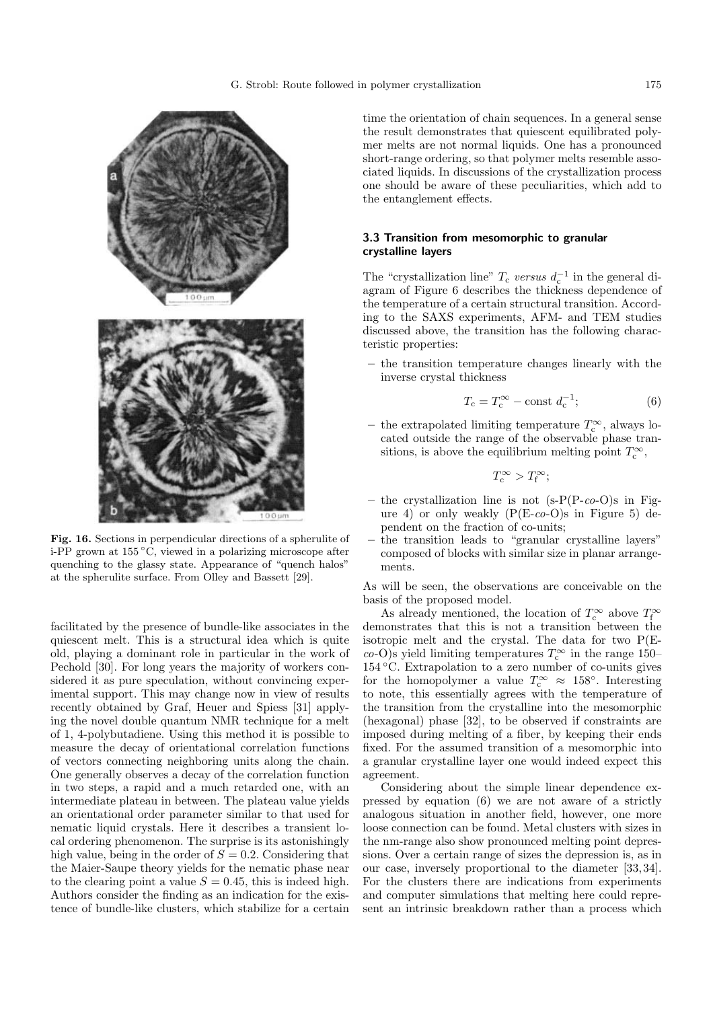

**Fig. 16.** Sections in perpendicular directions of a spherulite of i-PP grown at 155 ◦C, viewed in a polarizing microscope after quenching to the glassy state. Appearance of "quench halos" at the spherulite surface. From Olley and Bassett [29].

facilitated by the presence of bundle-like associates in the quiescent melt. This is a structural idea which is quite old, playing a dominant role in particular in the work of Pechold [30]. For long years the majority of workers considered it as pure speculation, without convincing experimental support. This may change now in view of results recently obtained by Graf, Heuer and Spiess [31] applying the novel double quantum NMR technique for a melt of 1, 4-polybutadiene. Using this method it is possible to measure the decay of orientational correlation functions of vectors connecting neighboring units along the chain. One generally observes a decay of the correlation function in two steps, a rapid and a much retarded one, with an intermediate plateau in between. The plateau value yields an orientational order parameter similar to that used for nematic liquid crystals. Here it describes a transient local ordering phenomenon. The surprise is its astonishingly high value, being in the order of  $S = 0.2$ . Considering that the Maier-Saupe theory yields for the nematic phase near to the clearing point a value  $S = 0.45$ , this is indeed high. Authors consider the finding as an indication for the existence of bundle-like clusters, which stabilize for a certain

time the orientation of chain sequences. In a general sense the result demonstrates that quiescent equilibrated polymer melts are not normal liquids. One has a pronounced short-range ordering, so that polymer melts resemble associated liquids. In discussions of the crystallization process one should be aware of these peculiarities, which add to the entanglement effects.

#### **3.3 Transition from mesomorphic to granular crystalline layers**

The "crystallization line"  $T_c$  *versus*  $d_c^{-1}$  in the general diagram of Figure 6 describes the thickness dependence of the temperature of a certain structural transition. According to the SAXS experiments, AFM- and TEM studies discussed above, the transition has the following characteristic properties:

**–** the transition temperature changes linearly with the inverse crystal thickness

$$
T_{\rm c} = T_{\rm c}^{\infty} - \text{const } d_{\rm c}^{-1};\tag{6}
$$

 $-$  the extrapolated limiting temperature  $T_c^{\infty}$ , always located outside the range of the observable phase transitions, is above the equilibrium melting point  $T_c^{\infty}$ ,

$$
T_{\rm c}^{\infty} > T_{\rm f}^{\infty};
$$

- **–** the crystallization line is not (s-P(P-*co*-O)s in Figure 4) or only weakly (P(E-*co*-O)s in Figure 5) dependent on the fraction of co-units;
- **–** the transition leads to "granular crystalline layers" composed of blocks with similar size in planar arrangements.

As will be seen, the observations are conceivable on the basis of the proposed model.

As already mentioned, the location of  $T_c^{\infty}$  above  $T_f^{\infty}$ demonstrates that this is not a transition between the isotropic melt and the crystal. The data for two P(E*co*-O)s yield limiting temperatures  $T_c^{\infty}$  in the range 150– 154 ◦C. Extrapolation to a zero number of co-units gives for the homopolymer a value  $T_c^{\infty} \approx 158^{\circ}$ . Interesting to note, this essentially agrees with the temperature of the transition from the crystalline into the mesomorphic (hexagonal) phase [32], to be observed if constraints are imposed during melting of a fiber, by keeping their ends fixed. For the assumed transition of a mesomorphic into a granular crystalline layer one would indeed expect this agreement.

Considering about the simple linear dependence expressed by equation (6) we are not aware of a strictly analogous situation in another field, however, one more loose connection can be found. Metal clusters with sizes in the nm-range also show pronounced melting point depressions. Over a certain range of sizes the depression is, as in our case, inversely proportional to the diameter [33, 34]. For the clusters there are indications from experiments and computer simulations that melting here could represent an intrinsic breakdown rather than a process which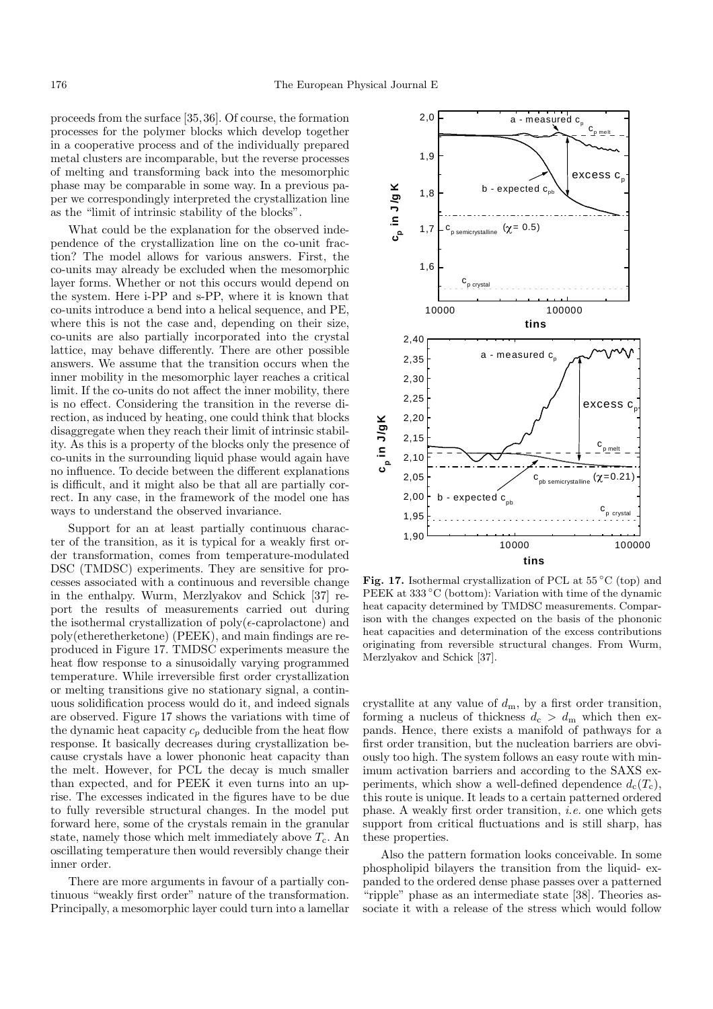proceeds from the surface [35,36]. Of course, the formation processes for the polymer blocks which develop together in a cooperative process and of the individually prepared metal clusters are incomparable, but the reverse processes of melting and transforming back into the mesomorphic phase may be comparable in some way. In a previous paper we correspondingly interpreted the crystallization line as the "limit of intrinsic stability of the blocks".

What could be the explanation for the observed independence of the crystallization line on the co-unit fraction? The model allows for various answers. First, the co-units may already be excluded when the mesomorphic layer forms. Whether or not this occurs would depend on the system. Here i-PP and s-PP, where it is known that co-units introduce a bend into a helical sequence, and PE, where this is not the case and, depending on their size, co-units are also partially incorporated into the crystal lattice, may behave differently. There are other possible answers. We assume that the transition occurs when the inner mobility in the mesomorphic layer reaches a critical limit. If the co-units do not affect the inner mobility, there is no effect. Considering the transition in the reverse direction, as induced by heating, one could think that blocks disaggregate when they reach their limit of intrinsic stability. As this is a property of the blocks only the presence of co-units in the surrounding liquid phase would again have no influence. To decide between the different explanations is difficult, and it might also be that all are partially correct. In any case, in the framework of the model one has ways to understand the observed invariance.

Support for an at least partially continuous character of the transition, as it is typical for a weakly first order transformation, comes from temperature-modulated DSC (TMDSC) experiments. They are sensitive for processes associated with a continuous and reversible change in the enthalpy. Wurm, Merzlyakov and Schick [37] report the results of measurements carried out during the isothermal crystallization of  $\text{poly}(\epsilon\text{-caprolactone})$  and poly(etheretherketone) (PEEK), and main findings are reproduced in Figure 17. TMDSC experiments measure the heat flow response to a sinusoidally varying programmed temperature. While irreversible first order crystallization or melting transitions give no stationary signal, a continuous solidification process would do it, and indeed signals are observed. Figure 17 shows the variations with time of the dynamic heat capacity  $c_p$  deducible from the heat flow response. It basically decreases during crystallization because crystals have a lower phononic heat capacity than the melt. However, for PCL the decay is much smaller than expected, and for PEEK it even turns into an uprise. The excesses indicated in the figures have to be due to fully reversible structural changes. In the model put forward here, some of the crystals remain in the granular state, namely those which melt immediately above  $T_c$ . An oscillating temperature then would reversibly change their inner order.

There are more arguments in favour of a partially continuous "weakly first order" nature of the transformation. Principally, a mesomorphic layer could turn into a lamellar



Fig. 17. Isothermal crystallization of PCL at 55 °C (top) and PEEK at 333 ◦C (bottom): Variation with time of the dynamic heat capacity determined by TMDSC measurements. Comparison with the changes expected on the basis of the phononic heat capacities and determination of the excess contributions originating from reversible structural changes. From Wurm, Merzlyakov and Schick [37].

crystallite at any value of  $d<sub>m</sub>$ , by a first order transition, forming a nucleus of thickness  $d_c > d_m$  which then expands. Hence, there exists a manifold of pathways for a first order transition, but the nucleation barriers are obviously too high. The system follows an easy route with minimum activation barriers and according to the SAXS experiments, which show a well-defined dependence  $d_c(T_c)$ , this route is unique. It leads to a certain patterned ordered phase. A weakly first order transition, *i.e.* one which gets support from critical fluctuations and is still sharp, has these properties.

Also the pattern formation looks conceivable. In some phospholipid bilayers the transition from the liquid- expanded to the ordered dense phase passes over a patterned "ripple" phase as an intermediate state [38]. Theories associate it with a release of the stress which would follow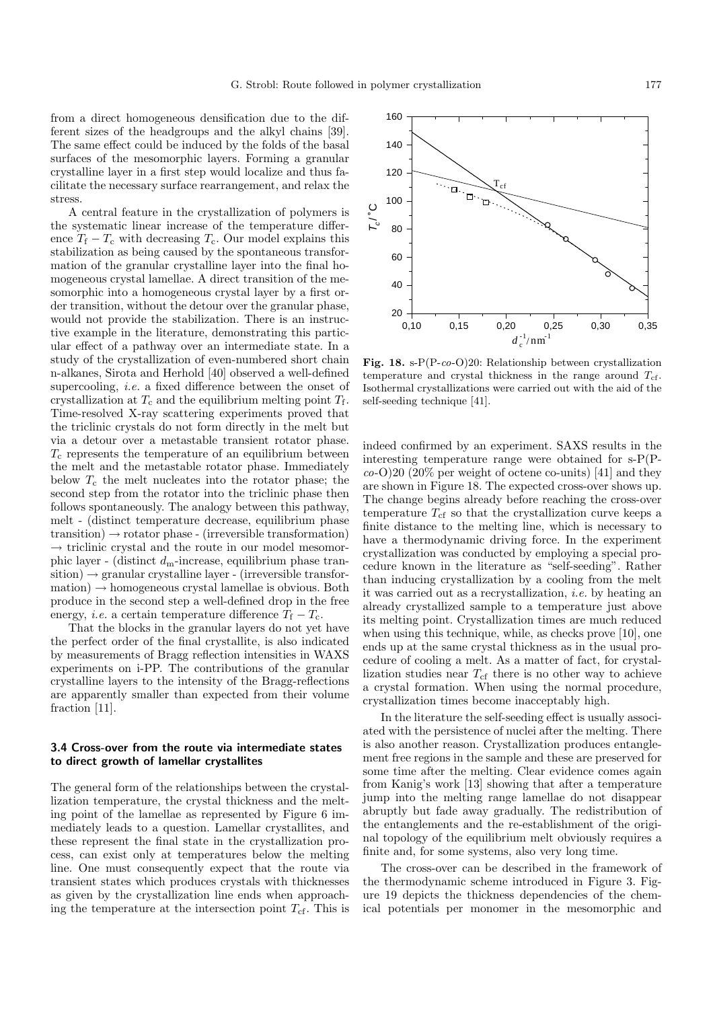from a direct homogeneous densification due to the different sizes of the headgroups and the alkyl chains [39]. The same effect could be induced by the folds of the basal surfaces of the mesomorphic layers. Forming a granular crystalline layer in a first step would localize and thus facilitate the necessary surface rearrangement, and relax the stress.

A central feature in the crystallization of polymers is the systematic linear increase of the temperature difference  $T_f - T_c$  with decreasing  $T_c$ . Our model explains this stabilization as being caused by the spontaneous transformation of the granular crystalline layer into the final homogeneous crystal lamellae. A direct transition of the mesomorphic into a homogeneous crystal layer by a first order transition, without the detour over the granular phase, would not provide the stabilization. There is an instructive example in the literature, demonstrating this particular effect of a pathway over an intermediate state. In a study of the crystallization of even-numbered short chain n-alkanes, Sirota and Herhold [40] observed a well-defined supercooling, *i.e.* a fixed difference between the onset of crystallization at  $T_c$  and the equilibrium melting point  $T_f$ . Time-resolved X-ray scattering experiments proved that the triclinic crystals do not form directly in the melt but via a detour over a metastable transient rotator phase.  $T_c$  represents the temperature of an equilibrium between the melt and the metastable rotator phase. Immediately below  $T_c$  the melt nucleates into the rotator phase; the second step from the rotator into the triclinic phase then follows spontaneously. The analogy between this pathway, melt - (distinct temperature decrease, equilibrium phase  $transition) \rightarrow rotator phase - (irreversible transformation)$  $\rightarrow$  triclinic crystal and the route in our model mesomorphic layer - (distinct  $d_{\rm m}$ -increase, equilibrium phase tran $sition) \rightarrow granular crystalline layer - (irreversible transform)$  $mation) \rightarrow homogeneous crystal lamellae is obvious. Both$ produce in the second step a well-defined drop in the free energy, *i.e.* a certain temperature difference  $T_f - T_c$ .

That the blocks in the granular layers do not yet have the perfect order of the final crystallite, is also indicated by measurements of Bragg reflection intensities in WAXS experiments on i-PP. The contributions of the granular crystalline layers to the intensity of the Bragg-reflections are apparently smaller than expected from their volume fraction [11].

#### **3.4 Cross-over from the route via intermediate states to direct growth of lamellar crystallites**

The general form of the relationships between the crystallization temperature, the crystal thickness and the melting point of the lamellae as represented by Figure 6 immediately leads to a question. Lamellar crystallites, and these represent the final state in the crystallization process, can exist only at temperatures below the melting line. One must consequently expect that the route via transient states which produces crystals with thicknesses as given by the crystallization line ends when approaching the temperature at the intersection point  $T_{cf}$ . This is



**Fig. 18.** s-P(P-co-O)20: Relationship between crystallization temperature and crystal thickness in the range around  $T_{cf.}$ . Isothermal crystallizations were carried out with the aid of the self-seeding technique [41].

indeed confirmed by an experiment. SAXS results in the interesting temperature range were obtained for s-P(P*co*-O)20 (20% per weight of octene co-units) [41] and they are shown in Figure 18. The expected cross-over shows up. The change begins already before reaching the cross-over temperature  $T_{cf}$  so that the crystallization curve keeps a finite distance to the melting line, which is necessary to have a thermodynamic driving force. In the experiment crystallization was conducted by employing a special procedure known in the literature as "self-seeding". Rather than inducing crystallization by a cooling from the melt it was carried out as a recrystallization, *i.e.* by heating an already crystallized sample to a temperature just above its melting point. Crystallization times are much reduced when using this technique, while, as checks prove [10], one ends up at the same crystal thickness as in the usual procedure of cooling a melt. As a matter of fact, for crystallization studies near  $T_{cf}$  there is no other way to achieve a crystal formation. When using the normal procedure, crystallization times become inacceptably high.

In the literature the self-seeding effect is usually associated with the persistence of nuclei after the melting. There is also another reason. Crystallization produces entanglement free regions in the sample and these are preserved for some time after the melting. Clear evidence comes again from Kanig's work [13] showing that after a temperature jump into the melting range lamellae do not disappear abruptly but fade away gradually. The redistribution of the entanglements and the re-establishment of the original topology of the equilibrium melt obviously requires a finite and, for some systems, also very long time.

The cross-over can be described in the framework of the thermodynamic scheme introduced in Figure 3. Figure 19 depicts the thickness dependencies of the chemical potentials per monomer in the mesomorphic and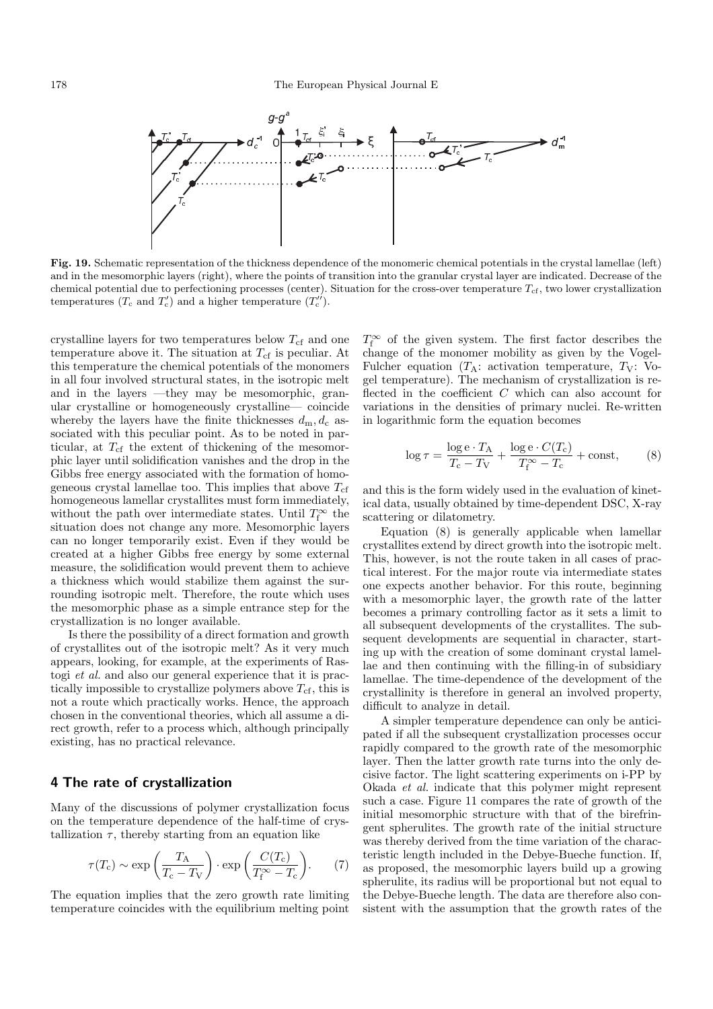

**Fig. 19.** Schematic representation of the thickness dependence of the monomeric chemical potentials in the crystal lamellae (left) and in the mesomorphic layers (right), where the points of transition into the granular crystal layer are indicated. Decrease of the chemical potential due to perfectioning processes (center). Situation for the cross-over temperature  $T_{cf}$ , two lower crystallization temperatures ( $T_c$  and  $T_c'$ ) and a higher temperature ( $T_c''$ ).

crystalline layers for two temperatures below  $T_{cf}$  and one temperature above it. The situation at  $T_{\rm cf}$  is peculiar. At this temperature the chemical potentials of the monomers in all four involved structural states, in the isotropic melt and in the layers —they may be mesomorphic, granular crystalline or homogeneously crystalline— coincide whereby the layers have the finite thicknesses  $d_m, d_c$  associated with this peculiar point. As to be noted in particular, at  $T_{\rm cf}$  the extent of thickening of the mesomorphic layer until solidification vanishes and the drop in the Gibbs free energy associated with the formation of homogeneous crystal lamellae too. This implies that above  $T_{cf}$ homogeneous lamellar crystallites must form immediately, without the path over intermediate states. Until  $T_{\rm f}^{\infty}$  the situation does not change any more. Mesomorphic layers can no longer temporarily exist. Even if they would be created at a higher Gibbs free energy by some external measure, the solidification would prevent them to achieve a thickness which would stabilize them against the surrounding isotropic melt. Therefore, the route which uses the mesomorphic phase as a simple entrance step for the crystallization is no longer available.

Is there the possibility of a direct formation and growth of crystallites out of the isotropic melt? As it very much appears, looking, for example, at the experiments of Rastogi *et al.* and also our general experience that it is practically impossible to crystallize polymers above  $T_{cf}$ , this is not a route which practically works. Hence, the approach chosen in the conventional theories, which all assume a direct growth, refer to a process which, although principally existing, has no practical relevance.

## **4 The rate of crystallization**

Many of the discussions of polymer crystallization focus on the temperature dependence of the half-time of crystallization  $\tau$ , thereby starting from an equation like

$$
\tau(T_{\rm c}) \sim \exp\left(\frac{T_{\rm A}}{T_{\rm c} - T_{\rm V}}\right) \cdot \exp\left(\frac{C(T_{\rm c})}{T_{\rm f}^{\infty} - T_{\rm c}}\right). \tag{7}
$$

The equation implies that the zero growth rate limiting temperature coincides with the equilibrium melting point

 $T_{\rm f}^{\infty}$  of the given system. The first factor describes the change of the monomer mobility as given by the Vogel-Fulcher equation  $(T_A:$  activation temperature,  $T_V:$  Vogel temperature). The mechanism of crystallization is reflected in the coefficient C which can also account for variations in the densities of primary nuclei. Re-written in logarithmic form the equation becomes

$$
\log \tau = \frac{\log e \cdot T_A}{T_c - T_V} + \frac{\log e \cdot C(T_c)}{T_f^{\infty} - T_c} + \text{const},\qquad(8)
$$

and this is the form widely used in the evaluation of kinetical data, usually obtained by time-dependent DSC, X-ray scattering or dilatometry.

Equation (8) is generally applicable when lamellar crystallites extend by direct growth into the isotropic melt. This, however, is not the route taken in all cases of practical interest. For the major route via intermediate states one expects another behavior. For this route, beginning with a mesomorphic layer, the growth rate of the latter becomes a primary controlling factor as it sets a limit to all subsequent developments of the crystallites. The subsequent developments are sequential in character, starting up with the creation of some dominant crystal lamellae and then continuing with the filling-in of subsidiary lamellae. The time-dependence of the development of the crystallinity is therefore in general an involved property, difficult to analyze in detail.

A simpler temperature dependence can only be anticipated if all the subsequent crystallization processes occur rapidly compared to the growth rate of the mesomorphic layer. Then the latter growth rate turns into the only decisive factor. The light scattering experiments on i-PP by Okada *et al.* indicate that this polymer might represent such a case. Figure 11 compares the rate of growth of the initial mesomorphic structure with that of the birefringent spherulites. The growth rate of the initial structure was thereby derived from the time variation of the characteristic length included in the Debye-Bueche function. If, as proposed, the mesomorphic layers build up a growing spherulite, its radius will be proportional but not equal to the Debye-Bueche length. The data are therefore also consistent with the assumption that the growth rates of the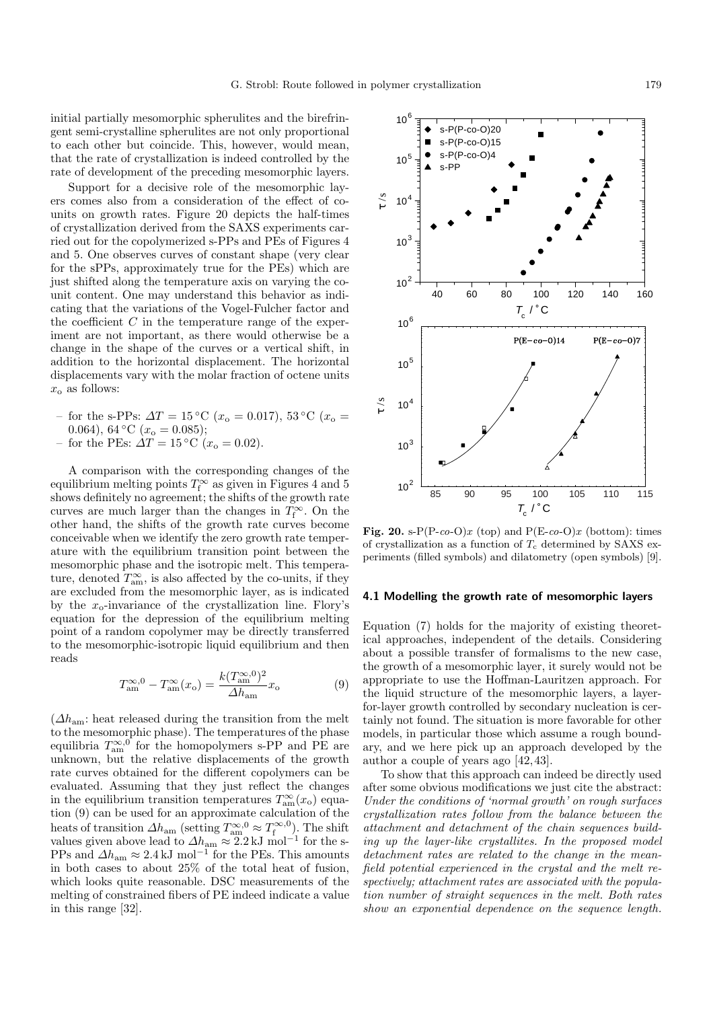initial partially mesomorphic spherulites and the birefringent semi-crystalline spherulites are not only proportional to each other but coincide. This, however, would mean, that the rate of crystallization is indeed controlled by the rate of development of the preceding mesomorphic layers.

Support for a decisive role of the mesomorphic layers comes also from a consideration of the effect of counits on growth rates. Figure 20 depicts the half-times of crystallization derived from the SAXS experiments carried out for the copolymerized s-PPs and PEs of Figures 4 and 5. One observes curves of constant shape (very clear for the sPPs, approximately true for the PEs) which are just shifted along the temperature axis on varying the counit content. One may understand this behavior as indicating that the variations of the Vogel-Fulcher factor and the coefficient  $C$  in the temperature range of the experiment are not important, as there would otherwise be a change in the shape of the curves or a vertical shift, in addition to the horizontal displacement. The horizontal displacements vary with the molar fraction of octene units  $x_0$  as follows:

- for the s-PPs:  $\Delta T = 15 \degree \text{C}$  ( $x_0 = 0.017$ ),  $53 \degree \text{C}$  ( $x_0 =$ 0.064),  $64 °C$  ( $x<sub>o</sub> = 0.085$ );
- for the PEs:  $\Delta T = 15 \degree \text{C}$  ( $x_o = 0.02$ ).

A comparison with the corresponding changes of the equilibrium melting points  $T_f^{\infty}$  as given in Figures 4 and 5 shows definitely no agreement; the shifts of the growth rate curves are much larger than the changes in  $T_{\rm f}^{\infty}$ . On the other hand, the shifts of the growth rate curves become conceivable when we identify the zero growth rate temperature with the equilibrium transition point between the mesomorphic phase and the isotropic melt. This temperature, denoted  $T_{\text{am}}^{\infty}$ , is also affected by the co-units, if they are excluded from the mesomorphic layer, as is indicated by the  $x_0$ -invariance of the crystallization line. Flory's equation for the depression of the equilibrium melting point of a random copolymer may be directly transferred to the mesomorphic-isotropic liquid equilibrium and then reads

$$
T_{\rm am}^{\infty,0} - T_{\rm am}^{\infty}(x_{\rm o}) = \frac{k(T_{\rm am}^{\infty,0})^2}{\Delta h_{\rm am}} x_{\rm o}
$$
 (9)

 $(\Delta h_{\rm am})$ : heat released during the transition from the melt to the mesomorphic phase). The temperatures of the phase equilibria  $T_{\text{am}}^{\infty,0}$  for the homopolymers s-PP and PE are unknown, but the relative displacements of the growth rate curves obtained for the different copolymers can be evaluated. Assuming that they just reflect the changes in the equilibrium transition temperatures  $T_{\text{am}}^{\infty}(x_{o})$  equation (9) can be used for an approximate calculation of the heats of transition  $\Delta h_{\rm am}$  (setting  $T_{\rm am}^{\infty,0} \approx T_{\rm f}^{\infty,0}$ ). The shift values given above lead to  $\Delta h_{\text{am}} \approx 2.2 \text{ kJ mol}^{-1}$  for the s-PPs and  $\Delta h_{\text{am}} \approx 2.4 \text{ kJ mol}^{-1}$  for the PEs. This amounts in both cases to about 25% of the total heat of fusion, which looks quite reasonable. DSC measurements of the melting of constrained fibers of PE indeed indicate a value in this range [32].



**Fig. 20.** s-P(P-co-O)x (top) and P(E-co-O)x (bottom): times of crystallization as a function of  $T_c$  determined by SAXS experiments (filled symbols) and dilatometry (open symbols) [9].

#### **4.1 Modelling the growth rate of mesomorphic layers**

Equation (7) holds for the majority of existing theoretical approaches, independent of the details. Considering about a possible transfer of formalisms to the new case, the growth of a mesomorphic layer, it surely would not be appropriate to use the Hoffman-Lauritzen approach. For the liquid structure of the mesomorphic layers, a layerfor-layer growth controlled by secondary nucleation is certainly not found. The situation is more favorable for other models, in particular those which assume a rough boundary, and we here pick up an approach developed by the author a couple of years ago [42, 43].

To show that this approach can indeed be directly used after some obvious modifications we just cite the abstract: *Under the conditions of 'normal growth' on rough surfaces crystallization rates follow from the balance between the attachment and detachment of the chain sequences building up the layer-like crystallites. In the proposed model detachment rates are related to the change in the meanfield potential experienced in the crystal and the melt respectively; attachment rates are associated with the population number of straight sequences in the melt. Both rates show an exponential dependence on the sequence length.*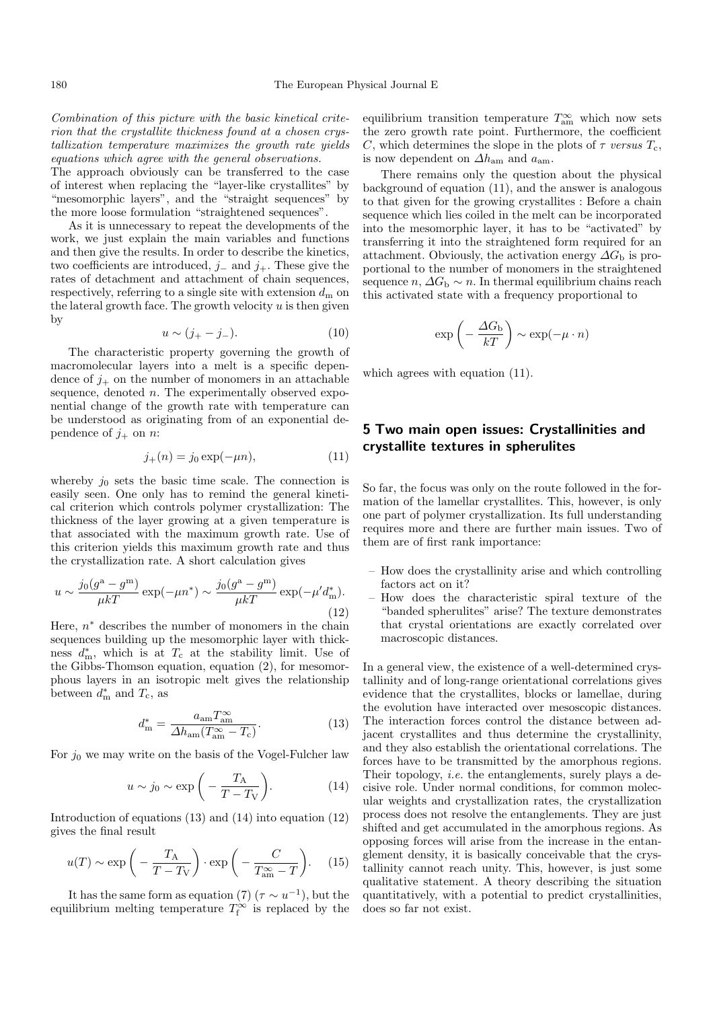*Combination of this picture with the basic kinetical criterion that the crystallite thickness found at a chosen crystallization temperature maximizes the growth rate yields equations which agree with the general observations.*

The approach obviously can be transferred to the case of interest when replacing the "layer-like crystallites" by "mesomorphic layers", and the "straight sequences" by the more loose formulation "straightened sequences".

As it is unnecessary to repeat the developments of the work, we just explain the main variables and functions and then give the results. In order to describe the kinetics, two coefficients are introduced,  $j_$  and  $j_+$ . These give the rates of detachment and attachment of chain sequences, respectively, referring to a single site with extension  $d_m$  on the lateral growth face. The growth velocity  $u$  is then given by

$$
u \sim (j_+ - j_-). \tag{10}
$$

The characteristic property governing the growth of macromolecular layers into a melt is a specific dependence of  $j_{+}$  on the number of monomers in an attachable sequence, denoted *n*. The experimentally observed exponential change of the growth rate with temperature can be understood as originating from of an exponential dependence of  $j_+$  on n:

$$
j_{+}(n) = j_{0} \exp(-\mu n), \qquad (11)
$$

whereby  $j_0$  sets the basic time scale. The connection is easily seen. One only has to remind the general kinetical criterion which controls polymer crystallization: The thickness of the layer growing at a given temperature is that associated with the maximum growth rate. Use of this criterion yields this maximum growth rate and thus the crystallization rate. A short calculation gives

$$
u \sim \frac{j_0(g^{\rm a} - g^{\rm m})}{\mu kT} \exp(-\mu n^*) \sim \frac{j_0(g^{\rm a} - g^{\rm m})}{\mu kT} \exp(-\mu' d_{\rm m}^*).
$$
\n(12)

Here,  $n^*$  describes the number of monomers in the chain sequences building up the mesomorphic layer with thickness  $d_{\text{m}}^*$ , which is at  $T_c$  at the stability limit. Use of the Gibbs-Thomson equation, equation (2), for mesomorphous layers in an isotropic melt gives the relationship between  $d_{\text{m}}^*$  and  $T_{\text{c}}$ , as

$$
d_{\rm m}^* = \frac{a_{\rm am} T_{\rm am}^{\infty}}{\Delta h_{\rm am} (T_{\rm am}^{\infty} - T_{\rm c})}.
$$
 (13)

For  $j_0$  we may write on the basis of the Vogel-Fulcher law

$$
u \sim j_0 \sim \exp\bigg(-\frac{T_A}{T - T_V}\bigg). \tag{14}
$$

Introduction of equations (13) and (14) into equation (12) gives the final result

$$
u(T) \sim \exp\left(-\frac{T_{\rm A}}{T - T_{\rm V}}\right) \cdot \exp\left(-\frac{C}{T_{\rm am}^{\infty} - T}\right). \quad (15)
$$

It has the same form as equation (7) ( $\tau \sim u^{-1}$ ), but the equilibrium melting temperature  $T_f^{\infty}$  is replaced by the

equilibrium transition temperature  $T_{\text{am}}^{\infty}$  which now sets the zero growth rate point. Furthermore, the coefficient C, which determines the slope in the plots of  $\tau$  *versus*  $T_c$ , is now dependent on  $\Delta h_{\text{am}}$  and  $a_{\text{am}}$ .

There remains only the question about the physical background of equation (11), and the answer is analogous to that given for the growing crystallites : Before a chain sequence which lies coiled in the melt can be incorporated into the mesomorphic layer, it has to be "activated" by transferring it into the straightened form required for an attachment. Obviously, the activation energy  $\Delta G_{\rm b}$  is proportional to the number of monomers in the straightened sequence  $n, \Delta G_{\rm b} \sim n$ . In thermal equilibrium chains reach this activated state with a frequency proportional to

$$
\exp\left(-\frac{\varDelta G_{\rm b}}{kT}\right) \sim \exp(-\mu\cdot n)
$$

which agrees with equation  $(11)$ .

# **5 Two main open issues: Crystallinities and crystallite textures in spherulites**

So far, the focus was only on the route followed in the formation of the lamellar crystallites. This, however, is only one part of polymer crystallization. Its full understanding requires more and there are further main issues. Two of them are of first rank importance:

- How does the crystallinity arise and which controlling factors act on it?
- How does the characteristic spiral texture of the "banded spherulites" arise? The texture demonstrates that crystal orientations are exactly correlated over macroscopic distances.

In a general view, the existence of a well-determined crystallinity and of long-range orientational correlations gives evidence that the crystallites, blocks or lamellae, during the evolution have interacted over mesoscopic distances. The interaction forces control the distance between adjacent crystallites and thus determine the crystallinity, and they also establish the orientational correlations. The forces have to be transmitted by the amorphous regions. Their topology, *i.e.* the entanglements, surely plays a decisive role. Under normal conditions, for common molecular weights and crystallization rates, the crystallization process does not resolve the entanglements. They are just shifted and get accumulated in the amorphous regions. As opposing forces will arise from the increase in the entanglement density, it is basically conceivable that the crystallinity cannot reach unity. This, however, is just some qualitative statement. A theory describing the situation quantitatively, with a potential to predict crystallinities, does so far not exist.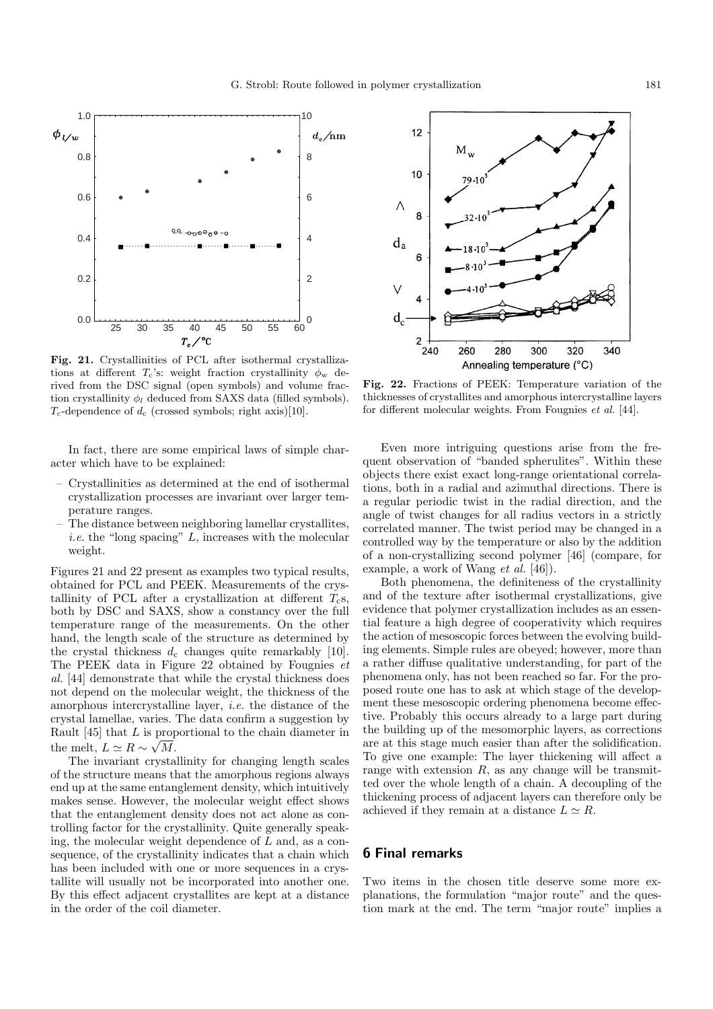

**Fig. 21.** Crystallinities of PCL after isothermal crystallizations at different  $T_c$ 's: weight fraction crystallinity  $\phi_w$  derived from the DSC signal (open symbols) and volume fraction crystallinity  $\phi_l$  deduced from SAXS data (filled symbols).  $T_c$ -dependence of  $d_c$  (crossed symbols; right axis)[10].

In fact, there are some empirical laws of simple character which have to be explained:

- Crystallinities as determined at the end of isothermal crystallization processes are invariant over larger temperature ranges.
- The distance between neighboring lamellar crystallites, *i.e.* the "long spacing" L, increases with the molecular weight.

Figures 21 and 22 present as examples two typical results, obtained for PCL and PEEK. Measurements of the crystallinity of PCL after a crystallization at different  $T_c$ s, both by DSC and SAXS, show a constancy over the full temperature range of the measurements. On the other hand, the length scale of the structure as determined by the crystal thickness  $d_c$  changes quite remarkably [10]. The PEEK data in Figure 22 obtained by Fougnies *et al.* [44] demonstrate that while the crystal thickness does not depend on the molecular weight, the thickness of the amorphous intercrystalline layer, *i.e.* the distance of the crystal lamellae, varies. The data confirm a suggestion by Rault [45] that L is proportional to the chain diameter in the melt,  $L \simeq R \sim \sqrt{M}$ .

The invariant crystallinity for changing length scales of the structure means that the amorphous regions always end up at the same entanglement density, which intuitively makes sense. However, the molecular weight effect shows that the entanglement density does not act alone as controlling factor for the crystallinity. Quite generally speaking, the molecular weight dependence of  $L$  and, as a consequence, of the crystallinity indicates that a chain which has been included with one or more sequences in a crystallite will usually not be incorporated into another one. By this effect adjacent crystallites are kept at a distance in the order of the coil diameter.



**Fig. 22.** Fractions of PEEK: Temperature variation of the thicknesses of crystallites and amorphous intercrystalline layers for different molecular weights. From Fougnies et al. [44].

Even more intriguing questions arise from the frequent observation of "banded spherulites". Within these objects there exist exact long-range orientational correlations, both in a radial and azimuthal directions. There is a regular periodic twist in the radial direction, and the angle of twist changes for all radius vectors in a strictly correlated manner. The twist period may be changed in a controlled way by the temperature or also by the addition of a non-crystallizing second polymer [46] (compare, for example, a work of Wang *et al.* [46]).

Both phenomena, the definiteness of the crystallinity and of the texture after isothermal crystallizations, give evidence that polymer crystallization includes as an essential feature a high degree of cooperativity which requires the action of mesoscopic forces between the evolving building elements. Simple rules are obeyed; however, more than a rather diffuse qualitative understanding, for part of the phenomena only, has not been reached so far. For the proposed route one has to ask at which stage of the development these mesoscopic ordering phenomena become effective. Probably this occurs already to a large part during the building up of the mesomorphic layers, as corrections are at this stage much easier than after the solidification. To give one example: The layer thickening will affect a range with extension  $R$ , as any change will be transmitted over the whole length of a chain. A decoupling of the thickening process of adjacent layers can therefore only be achieved if they remain at a distance  $L \simeq R$ .

## **6 Final remarks**

Two items in the chosen title deserve some more explanations, the formulation "major route" and the question mark at the end. The term "major route" implies a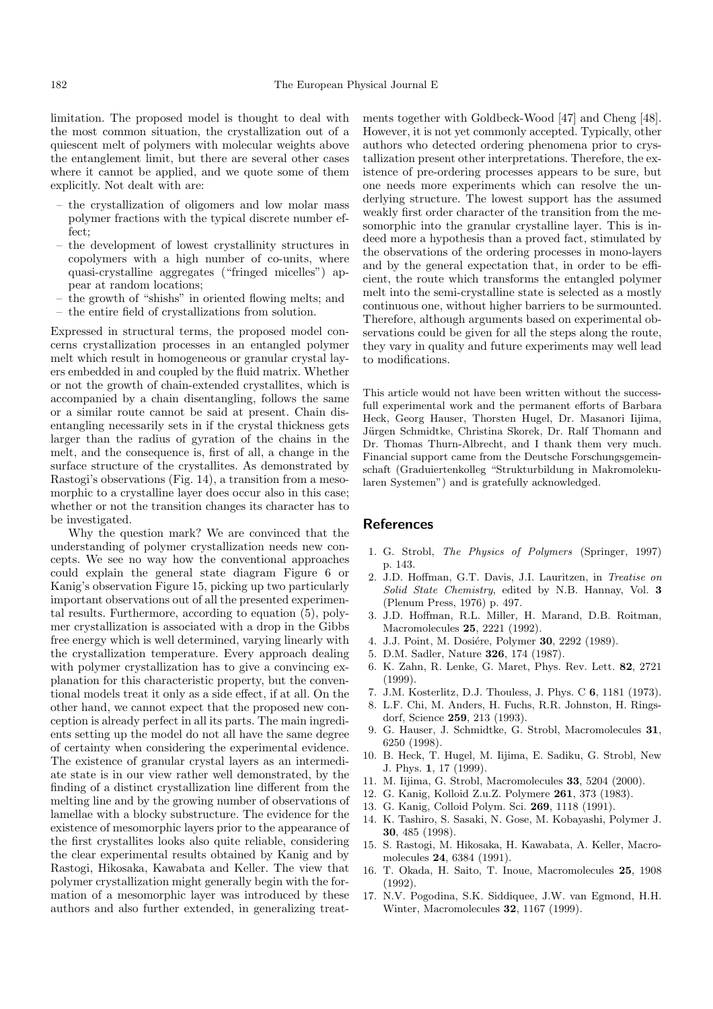limitation. The proposed model is thought to deal with the most common situation, the crystallization out of a quiescent melt of polymers with molecular weights above the entanglement limit, but there are several other cases where it cannot be applied, and we quote some of them explicitly. Not dealt with are:

- the crystallization of oligomers and low molar mass polymer fractions with the typical discrete number effect;
- the development of lowest crystallinity structures in copolymers with a high number of co-units, where quasi-crystalline aggregates ("fringed micelles") appear at random locations;
- the growth of "shishs" in oriented flowing melts; and
- the entire field of crystallizations from solution.

Expressed in structural terms, the proposed model concerns crystallization processes in an entangled polymer melt which result in homogeneous or granular crystal layers embedded in and coupled by the fluid matrix. Whether or not the growth of chain-extended crystallites, which is accompanied by a chain disentangling, follows the same or a similar route cannot be said at present. Chain disentangling necessarily sets in if the crystal thickness gets larger than the radius of gyration of the chains in the melt, and the consequence is, first of all, a change in the surface structure of the crystallites. As demonstrated by Rastogi's observations (Fig. 14), a transition from a mesomorphic to a crystalline layer does occur also in this case; whether or not the transition changes its character has to be investigated.

Why the question mark? We are convinced that the understanding of polymer crystallization needs new concepts. We see no way how the conventional approaches could explain the general state diagram Figure 6 or Kanig's observation Figure 15, picking up two particularly important observations out of all the presented experimental results. Furthermore, according to equation (5), polymer crystallization is associated with a drop in the Gibbs free energy which is well determined, varying linearly with the crystallization temperature. Every approach dealing with polymer crystallization has to give a convincing explanation for this characteristic property, but the conventional models treat it only as a side effect, if at all. On the other hand, we cannot expect that the proposed new conception is already perfect in all its parts. The main ingredients setting up the model do not all have the same degree of certainty when considering the experimental evidence. The existence of granular crystal layers as an intermediate state is in our view rather well demonstrated, by the finding of a distinct crystallization line different from the melting line and by the growing number of observations of lamellae with a blocky substructure. The evidence for the existence of mesomorphic layers prior to the appearance of the first crystallites looks also quite reliable, considering the clear experimental results obtained by Kanig and by Rastogi, Hikosaka, Kawabata and Keller. The view that polymer crystallization might generally begin with the formation of a mesomorphic layer was introduced by these authors and also further extended, in generalizing treatments together with Goldbeck-Wood [47] and Cheng [48]. However, it is not yet commonly accepted. Typically, other authors who detected ordering phenomena prior to crystallization present other interpretations. Therefore, the existence of pre-ordering processes appears to be sure, but one needs more experiments which can resolve the underlying structure. The lowest support has the assumed weakly first order character of the transition from the mesomorphic into the granular crystalline layer. This is indeed more a hypothesis than a proved fact, stimulated by the observations of the ordering processes in mono-layers and by the general expectation that, in order to be efficient, the route which transforms the entangled polymer melt into the semi-crystalline state is selected as a mostly continuous one, without higher barriers to be surmounted. Therefore, although arguments based on experimental observations could be given for all the steps along the route, they vary in quality and future experiments may well lead to modifications.

This article would not have been written without the successfull experimental work and the permanent efforts of Barbara Heck, Georg Hauser, Thorsten Hugel, Dr. Masanori Iijima, Jürgen Schmidtke, Christina Skorek, Dr. Ralf Thomann and Dr. Thomas Thurn-Albrecht, and I thank them very much. Financial support came from the Deutsche Forschungsgemeinschaft (Graduiertenkolleg "Strukturbildung in Makromolekularen Systemen") and is gratefully acknowledged.

### **References**

- 1. G. Strobl, The Physics of Polymers (Springer, 1997) p. 143.
- 2. J.D. Hoffman, G.T. Davis, J.I. Lauritzen, in Treatise on Solid State Chemistry, edited by N.B. Hannay, Vol. **3** (Plenum Press, 1976) p. 497.
- 3. J.D. Hoffman, R.L. Miller, H. Marand, D.B. Roitman, Macromolecules **25**, 2221 (1992).
- 4. J.J. Point, M. Dosiére, Polymer **30**, 2292 (1989).
- 5. D.M. Sadler, Nature **326**, 174 (1987).
- 6. K. Zahn, R. Lenke, G. Maret, Phys. Rev. Lett. **82**, 2721 (1999).
- 7. J.M. Kosterlitz, D.J. Thouless, J. Phys. C **6**, 1181 (1973).
- 8. L.F. Chi, M. Anders, H. Fuchs, R.R. Johnston, H. Ringsdorf, Science **259**, 213 (1993).
- 9. G. Hauser, J. Schmidtke, G. Strobl, Macromolecules **31**, 6250 (1998).
- 10. B. Heck, T. Hugel, M. Iijima, E. Sadiku, G. Strobl, New J. Phys. **1**, 17 (1999).
- 11. M. Iijima, G. Strobl, Macromolecules **33**, 5204 (2000).
- 12. G. Kanig, Kolloid Z.u.Z. Polymere **261**, 373 (1983).
- 13. G. Kanig, Colloid Polym. Sci. **269**, 1118 (1991).
- 14. K. Tashiro, S. Sasaki, N. Gose, M. Kobayashi, Polymer J. **30**, 485 (1998).
- 15. S. Rastogi, M. Hikosaka, H. Kawabata, A. Keller, Macromolecules **24**, 6384 (1991).
- 16. T. Okada, H. Saito, T. Inoue, Macromolecules **25**, 1908 (1992).
- 17. N.V. Pogodina, S.K. Siddiquee, J.W. van Egmond, H.H. Winter, Macromolecules **32**, 1167 (1999).